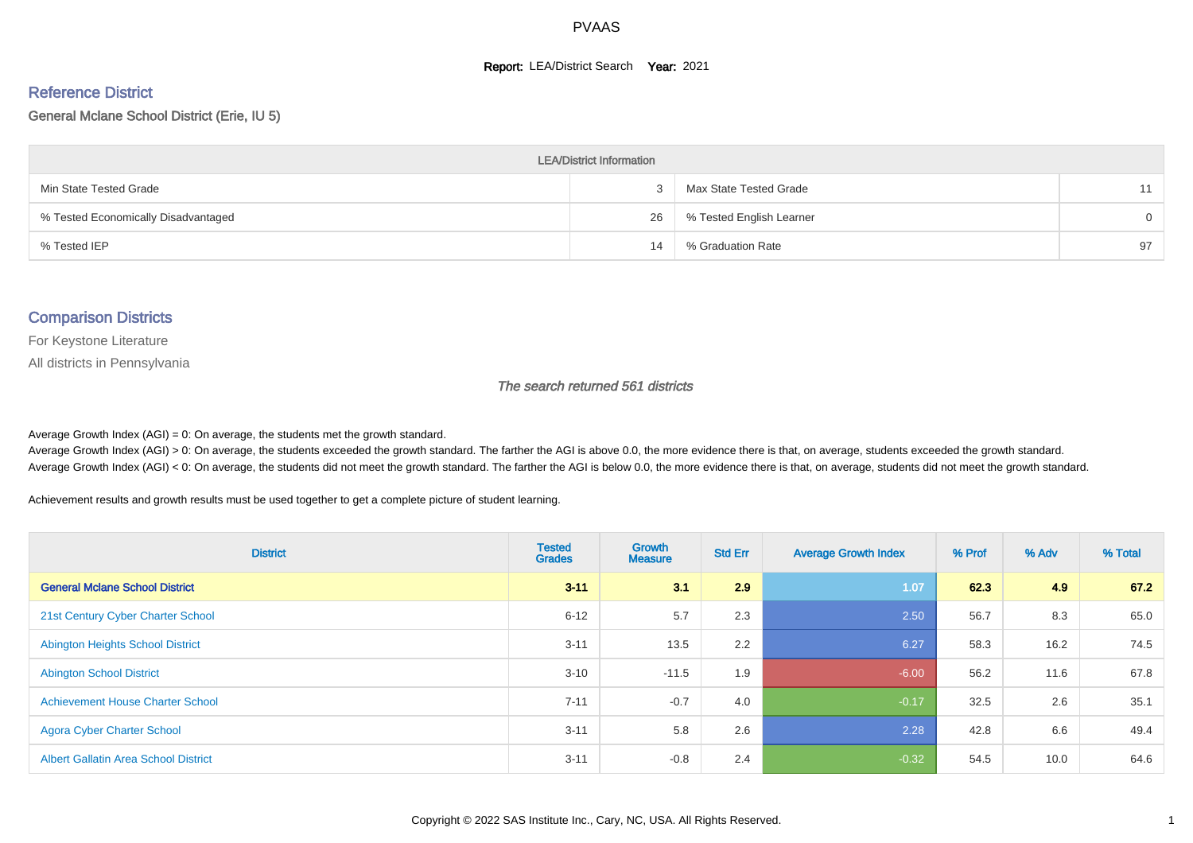#### **Report: LEA/District Search Year: 2021**

#### Reference District

#### General Mclane School District (Erie, IU 5)

| <b>LEA/District Information</b>     |    |                          |          |  |  |  |  |  |  |  |
|-------------------------------------|----|--------------------------|----------|--|--|--|--|--|--|--|
| Min State Tested Grade              |    | Max State Tested Grade   | 11       |  |  |  |  |  |  |  |
| % Tested Economically Disadvantaged | 26 | % Tested English Learner | $\Omega$ |  |  |  |  |  |  |  |
| % Tested IEP                        | 14 | % Graduation Rate        | 97       |  |  |  |  |  |  |  |

#### Comparison Districts

For Keystone Literature

All districts in Pennsylvania

The search returned 561 districts

Average Growth Index  $(AGI) = 0$ : On average, the students met the growth standard.

Average Growth Index (AGI) > 0: On average, the students exceeded the growth standard. The farther the AGI is above 0.0, the more evidence there is that, on average, students exceeded the growth standard. Average Growth Index (AGI) < 0: On average, the students did not meet the growth standard. The farther the AGI is below 0.0, the more evidence there is that, on average, students did not meet the growth standard.

Achievement results and growth results must be used together to get a complete picture of student learning.

| <b>District</b>                             | <b>Tested</b><br><b>Grades</b> | <b>Growth</b><br><b>Measure</b> | <b>Std Err</b> | <b>Average Growth Index</b> | % Prof | % Adv | % Total |
|---------------------------------------------|--------------------------------|---------------------------------|----------------|-----------------------------|--------|-------|---------|
| <b>General Mclane School District</b>       | $3 - 11$                       | 3.1                             | 2.9            | 1.07                        | 62.3   | 4.9   | 67.2    |
| 21st Century Cyber Charter School           | $6 - 12$                       | 5.7                             | 2.3            | 2.50                        | 56.7   | 8.3   | 65.0    |
| <b>Abington Heights School District</b>     | $3 - 11$                       | 13.5                            | 2.2            | 6.27                        | 58.3   | 16.2  | 74.5    |
| <b>Abington School District</b>             | $3 - 10$                       | $-11.5$                         | 1.9            | $-6.00$                     | 56.2   | 11.6  | 67.8    |
| <b>Achievement House Charter School</b>     | $7 - 11$                       | $-0.7$                          | 4.0            | $-0.17$                     | 32.5   | 2.6   | 35.1    |
| <b>Agora Cyber Charter School</b>           | $3 - 11$                       | 5.8                             | 2.6            | 2.28                        | 42.8   | 6.6   | 49.4    |
| <b>Albert Gallatin Area School District</b> | $3 - 11$                       | $-0.8$                          | 2.4            | $-0.32$                     | 54.5   | 10.0  | 64.6    |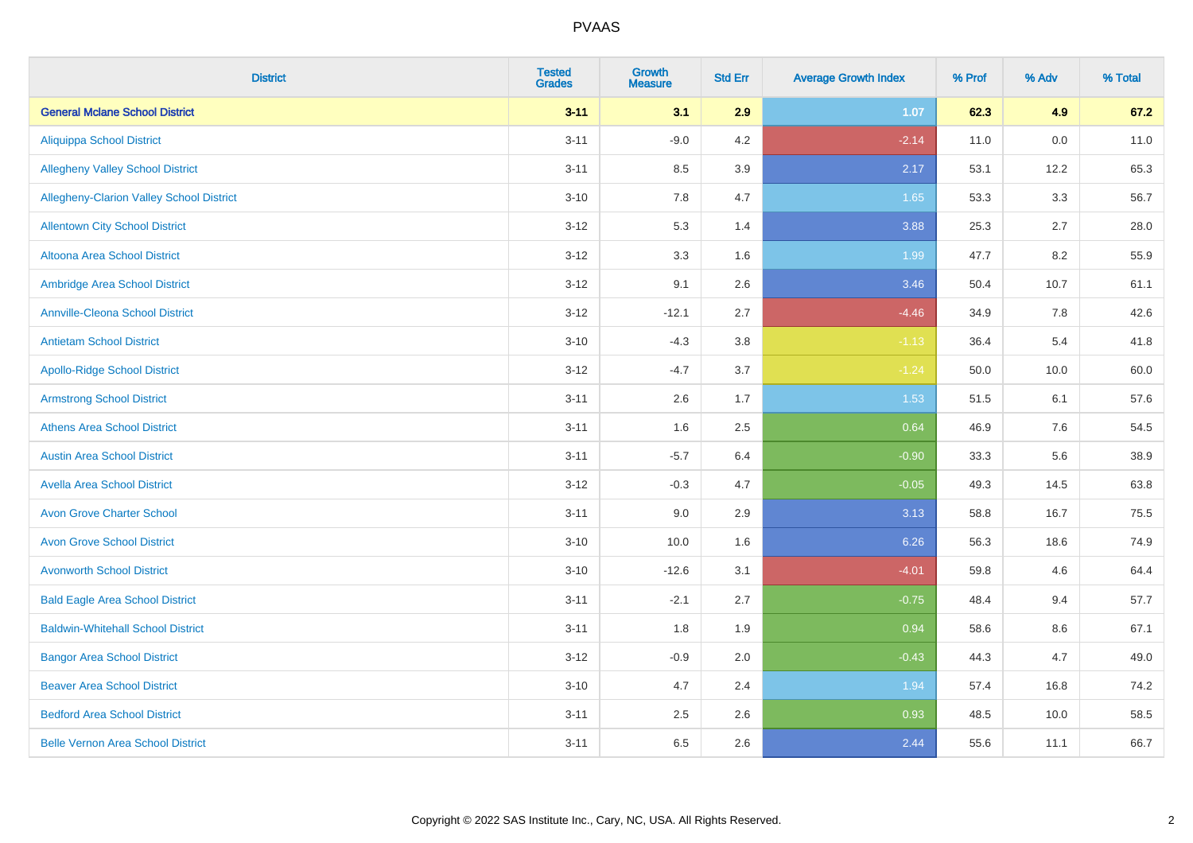| <b>District</b>                          | <b>Tested</b><br><b>Grades</b> | <b>Growth</b><br><b>Measure</b> | <b>Std Err</b> | <b>Average Growth Index</b> | % Prof | % Adv   | % Total |
|------------------------------------------|--------------------------------|---------------------------------|----------------|-----------------------------|--------|---------|---------|
| <b>General Mclane School District</b>    | $3 - 11$                       | 3.1                             | 2.9            | 1.07                        | 62.3   | 4.9     | 67.2    |
| <b>Aliquippa School District</b>         | $3 - 11$                       | $-9.0$                          | 4.2            | $-2.14$                     | 11.0   | $0.0\,$ | 11.0    |
| <b>Allegheny Valley School District</b>  | $3 - 11$                       | 8.5                             | 3.9            | 2.17                        | 53.1   | 12.2    | 65.3    |
| Allegheny-Clarion Valley School District | $3 - 10$                       | 7.8                             | 4.7            | 1.65                        | 53.3   | 3.3     | 56.7    |
| <b>Allentown City School District</b>    | $3 - 12$                       | 5.3                             | 1.4            | 3.88                        | 25.3   | 2.7     | 28.0    |
| <b>Altoona Area School District</b>      | $3 - 12$                       | 3.3                             | 1.6            | 1.99                        | 47.7   | 8.2     | 55.9    |
| Ambridge Area School District            | $3 - 12$                       | 9.1                             | 2.6            | 3.46                        | 50.4   | 10.7    | 61.1    |
| <b>Annville-Cleona School District</b>   | $3 - 12$                       | $-12.1$                         | 2.7            | $-4.46$                     | 34.9   | 7.8     | 42.6    |
| <b>Antietam School District</b>          | $3 - 10$                       | $-4.3$                          | 3.8            | $-1.13$                     | 36.4   | 5.4     | 41.8    |
| <b>Apollo-Ridge School District</b>      | $3 - 12$                       | $-4.7$                          | 3.7            | $-1.24$                     | 50.0   | 10.0    | 60.0    |
| <b>Armstrong School District</b>         | $3 - 11$                       | 2.6                             | 1.7            | 1.53                        | 51.5   | 6.1     | 57.6    |
| <b>Athens Area School District</b>       | $3 - 11$                       | 1.6                             | 2.5            | 0.64                        | 46.9   | 7.6     | 54.5    |
| <b>Austin Area School District</b>       | $3 - 11$                       | $-5.7$                          | 6.4            | $-0.90$                     | 33.3   | 5.6     | 38.9    |
| <b>Avella Area School District</b>       | $3 - 12$                       | $-0.3$                          | 4.7            | $-0.05$                     | 49.3   | 14.5    | 63.8    |
| <b>Avon Grove Charter School</b>         | $3 - 11$                       | 9.0                             | 2.9            | 3.13                        | 58.8   | 16.7    | 75.5    |
| <b>Avon Grove School District</b>        | $3 - 10$                       | 10.0                            | 1.6            | 6.26                        | 56.3   | 18.6    | 74.9    |
| <b>Avonworth School District</b>         | $3 - 10$                       | $-12.6$                         | 3.1            | $-4.01$                     | 59.8   | 4.6     | 64.4    |
| <b>Bald Eagle Area School District</b>   | $3 - 11$                       | $-2.1$                          | 2.7            | $-0.75$                     | 48.4   | 9.4     | 57.7    |
| <b>Baldwin-Whitehall School District</b> | $3 - 11$                       | 1.8                             | 1.9            | 0.94                        | 58.6   | 8.6     | 67.1    |
| <b>Bangor Area School District</b>       | $3 - 12$                       | $-0.9$                          | 2.0            | $-0.43$                     | 44.3   | 4.7     | 49.0    |
| <b>Beaver Area School District</b>       | $3 - 10$                       | 4.7                             | 2.4            | 1.94                        | 57.4   | 16.8    | 74.2    |
| <b>Bedford Area School District</b>      | $3 - 11$                       | 2.5                             | 2.6            | 0.93                        | 48.5   | 10.0    | 58.5    |
| <b>Belle Vernon Area School District</b> | $3 - 11$                       | 6.5                             | 2.6            | 2.44                        | 55.6   | 11.1    | 66.7    |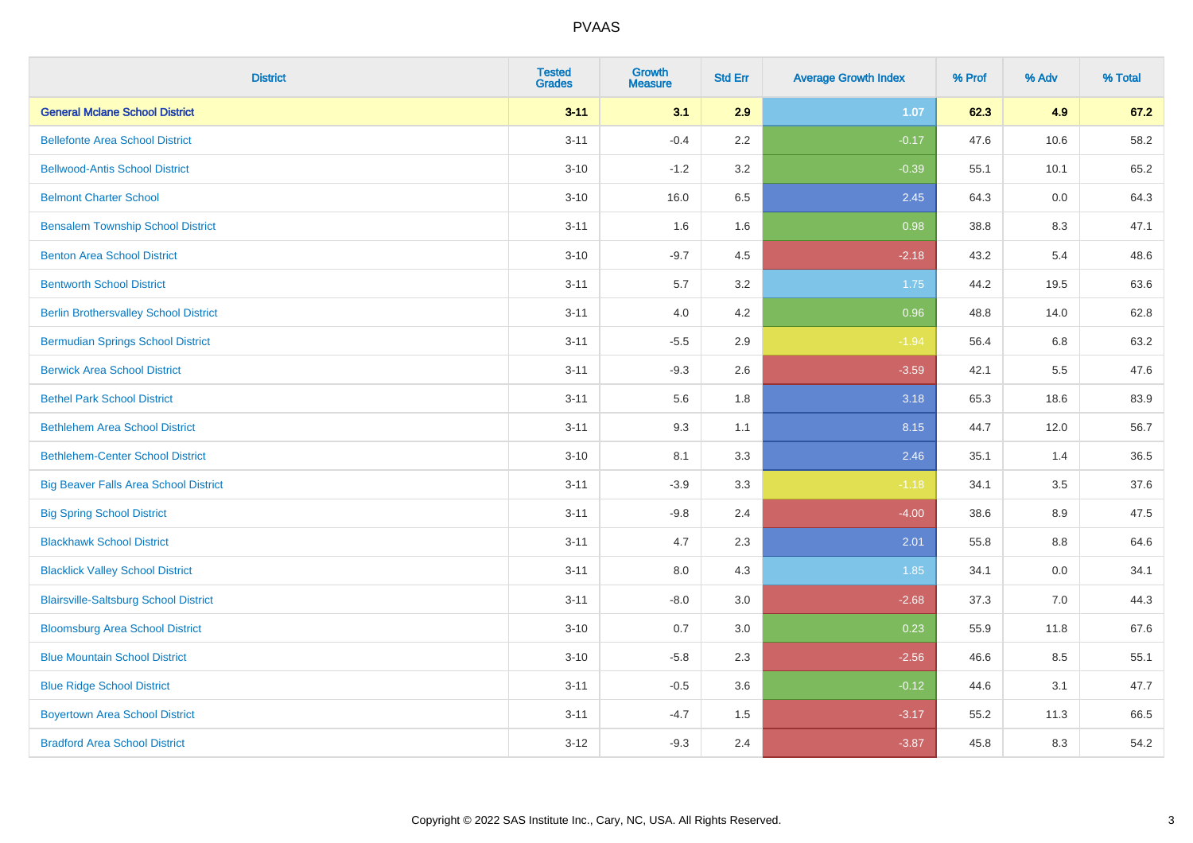| <b>District</b>                              | <b>Tested</b><br><b>Grades</b> | <b>Growth</b><br><b>Measure</b> | <b>Std Err</b> | <b>Average Growth Index</b> | % Prof | % Adv | % Total |
|----------------------------------------------|--------------------------------|---------------------------------|----------------|-----------------------------|--------|-------|---------|
| <b>General Mclane School District</b>        | $3 - 11$                       | 3.1                             | 2.9            | 1.07                        | 62.3   | 4.9   | 67.2    |
| <b>Bellefonte Area School District</b>       | $3 - 11$                       | $-0.4$                          | 2.2            | $-0.17$                     | 47.6   | 10.6  | 58.2    |
| <b>Bellwood-Antis School District</b>        | $3 - 10$                       | $-1.2$                          | 3.2            | $-0.39$                     | 55.1   | 10.1  | 65.2    |
| <b>Belmont Charter School</b>                | $3 - 10$                       | 16.0                            | 6.5            | 2.45                        | 64.3   | 0.0   | 64.3    |
| <b>Bensalem Township School District</b>     | $3 - 11$                       | 1.6                             | 1.6            | 0.98                        | 38.8   | 8.3   | 47.1    |
| <b>Benton Area School District</b>           | $3 - 10$                       | $-9.7$                          | 4.5            | $-2.18$                     | 43.2   | 5.4   | 48.6    |
| <b>Bentworth School District</b>             | $3 - 11$                       | 5.7                             | 3.2            | 1.75                        | 44.2   | 19.5  | 63.6    |
| <b>Berlin Brothersvalley School District</b> | $3 - 11$                       | 4.0                             | 4.2            | 0.96                        | 48.8   | 14.0  | 62.8    |
| <b>Bermudian Springs School District</b>     | $3 - 11$                       | $-5.5$                          | 2.9            | $-1.94$                     | 56.4   | 6.8   | 63.2    |
| <b>Berwick Area School District</b>          | $3 - 11$                       | $-9.3$                          | 2.6            | $-3.59$                     | 42.1   | 5.5   | 47.6    |
| <b>Bethel Park School District</b>           | $3 - 11$                       | 5.6                             | 1.8            | 3.18                        | 65.3   | 18.6  | 83.9    |
| <b>Bethlehem Area School District</b>        | $3 - 11$                       | 9.3                             | 1.1            | 8.15                        | 44.7   | 12.0  | 56.7    |
| <b>Bethlehem-Center School District</b>      | $3 - 10$                       | 8.1                             | 3.3            | 2.46                        | 35.1   | 1.4   | 36.5    |
| <b>Big Beaver Falls Area School District</b> | $3 - 11$                       | $-3.9$                          | 3.3            | $-1.18$                     | 34.1   | 3.5   | 37.6    |
| <b>Big Spring School District</b>            | $3 - 11$                       | $-9.8$                          | 2.4            | $-4.00$                     | 38.6   | 8.9   | 47.5    |
| <b>Blackhawk School District</b>             | $3 - 11$                       | 4.7                             | 2.3            | 2.01                        | 55.8   | 8.8   | 64.6    |
| <b>Blacklick Valley School District</b>      | $3 - 11$                       | 8.0                             | 4.3            | 1.85                        | 34.1   | 0.0   | 34.1    |
| <b>Blairsville-Saltsburg School District</b> | $3 - 11$                       | $-8.0$                          | 3.0            | $-2.68$                     | 37.3   | 7.0   | 44.3    |
| <b>Bloomsburg Area School District</b>       | $3 - 10$                       | 0.7                             | 3.0            | 0.23                        | 55.9   | 11.8  | 67.6    |
| <b>Blue Mountain School District</b>         | $3 - 10$                       | $-5.8$                          | 2.3            | $-2.56$                     | 46.6   | 8.5   | 55.1    |
| <b>Blue Ridge School District</b>            | $3 - 11$                       | $-0.5$                          | 3.6            | $-0.12$                     | 44.6   | 3.1   | 47.7    |
| <b>Boyertown Area School District</b>        | $3 - 11$                       | $-4.7$                          | 1.5            | $-3.17$                     | 55.2   | 11.3  | 66.5    |
| <b>Bradford Area School District</b>         | $3 - 12$                       | $-9.3$                          | 2.4            | $-3.87$                     | 45.8   | 8.3   | 54.2    |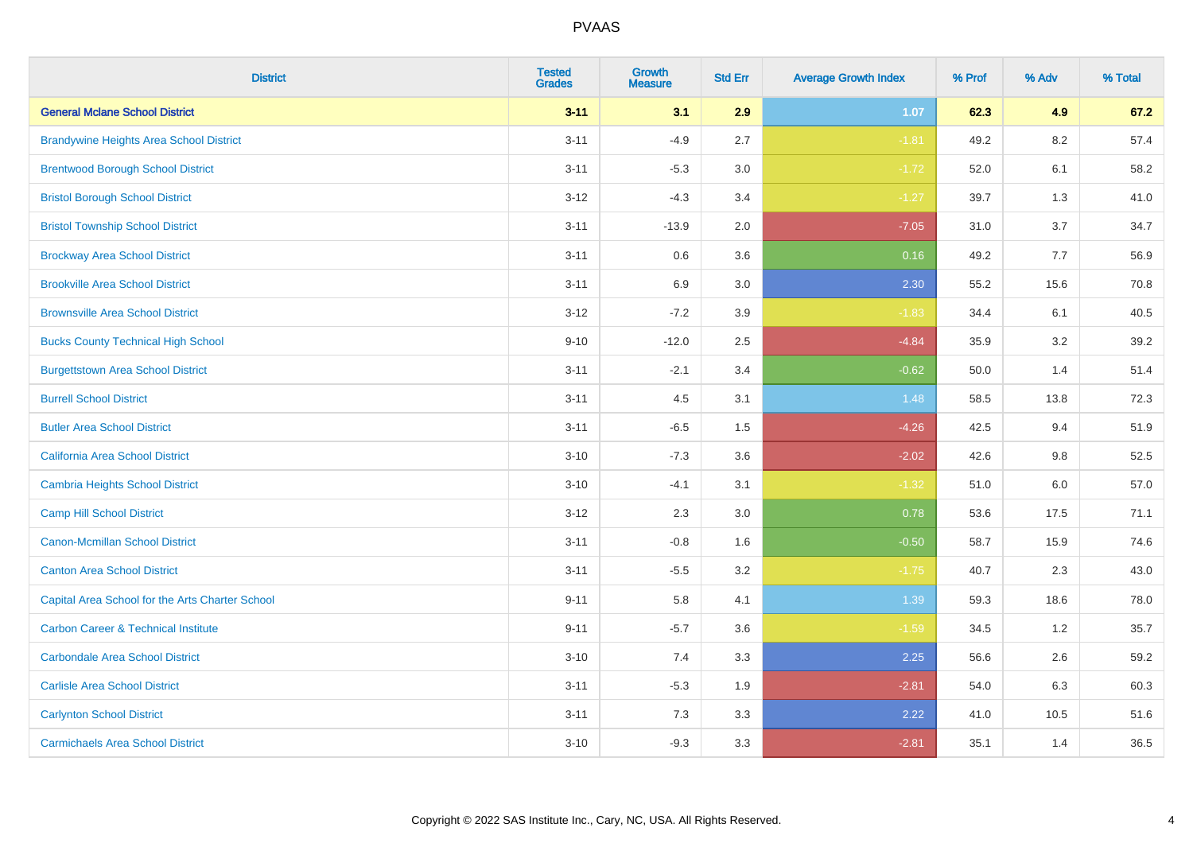| <b>District</b>                                 | <b>Tested</b><br><b>Grades</b> | <b>Growth</b><br><b>Measure</b> | <b>Std Err</b> | <b>Average Growth Index</b> | % Prof | % Adv   | % Total |
|-------------------------------------------------|--------------------------------|---------------------------------|----------------|-----------------------------|--------|---------|---------|
| <b>General Mclane School District</b>           | $3 - 11$                       | 3.1                             | 2.9            | 1.07                        | 62.3   | 4.9     | 67.2    |
| <b>Brandywine Heights Area School District</b>  | $3 - 11$                       | $-4.9$                          | 2.7            | $-1.81$                     | 49.2   | $8.2\,$ | 57.4    |
| <b>Brentwood Borough School District</b>        | $3 - 11$                       | $-5.3$                          | 3.0            | $-1.72$                     | 52.0   | 6.1     | 58.2    |
| <b>Bristol Borough School District</b>          | $3 - 12$                       | $-4.3$                          | 3.4            | $-1.27$                     | 39.7   | 1.3     | 41.0    |
| <b>Bristol Township School District</b>         | $3 - 11$                       | $-13.9$                         | 2.0            | $-7.05$                     | 31.0   | 3.7     | 34.7    |
| <b>Brockway Area School District</b>            | $3 - 11$                       | 0.6                             | 3.6            | 0.16                        | 49.2   | 7.7     | 56.9    |
| <b>Brookville Area School District</b>          | $3 - 11$                       | 6.9                             | 3.0            | 2.30                        | 55.2   | 15.6    | 70.8    |
| <b>Brownsville Area School District</b>         | $3 - 12$                       | $-7.2$                          | 3.9            | $-1.83$                     | 34.4   | 6.1     | 40.5    |
| <b>Bucks County Technical High School</b>       | $9 - 10$                       | $-12.0$                         | 2.5            | $-4.84$                     | 35.9   | 3.2     | 39.2    |
| <b>Burgettstown Area School District</b>        | $3 - 11$                       | $-2.1$                          | 3.4            | $-0.62$                     | 50.0   | 1.4     | 51.4    |
| <b>Burrell School District</b>                  | $3 - 11$                       | 4.5                             | 3.1            | 1.48                        | 58.5   | 13.8    | 72.3    |
| <b>Butler Area School District</b>              | $3 - 11$                       | $-6.5$                          | 1.5            | $-4.26$                     | 42.5   | 9.4     | 51.9    |
| California Area School District                 | $3 - 10$                       | $-7.3$                          | 3.6            | $-2.02$                     | 42.6   | $9.8\,$ | 52.5    |
| <b>Cambria Heights School District</b>          | $3 - 10$                       | $-4.1$                          | 3.1            | $-1.32$                     | 51.0   | 6.0     | 57.0    |
| <b>Camp Hill School District</b>                | $3 - 12$                       | 2.3                             | 3.0            | 0.78                        | 53.6   | 17.5    | 71.1    |
| <b>Canon-Mcmillan School District</b>           | $3 - 11$                       | $-0.8$                          | 1.6            | $-0.50$                     | 58.7   | 15.9    | 74.6    |
| <b>Canton Area School District</b>              | $3 - 11$                       | $-5.5$                          | 3.2            | $-1.75$                     | 40.7   | 2.3     | 43.0    |
| Capital Area School for the Arts Charter School | $9 - 11$                       | 5.8                             | 4.1            | 1.39                        | 59.3   | 18.6    | 78.0    |
| <b>Carbon Career &amp; Technical Institute</b>  | $9 - 11$                       | $-5.7$                          | 3.6            | $-1.59$                     | 34.5   | 1.2     | 35.7    |
| <b>Carbondale Area School District</b>          | $3 - 10$                       | 7.4                             | 3.3            | 2.25                        | 56.6   | 2.6     | 59.2    |
| <b>Carlisle Area School District</b>            | $3 - 11$                       | $-5.3$                          | 1.9            | $-2.81$                     | 54.0   | 6.3     | 60.3    |
| <b>Carlynton School District</b>                | $3 - 11$                       | 7.3                             | 3.3            | 2.22                        | 41.0   | 10.5    | 51.6    |
| <b>Carmichaels Area School District</b>         | $3 - 10$                       | $-9.3$                          | 3.3            | $-2.81$                     | 35.1   | 1.4     | 36.5    |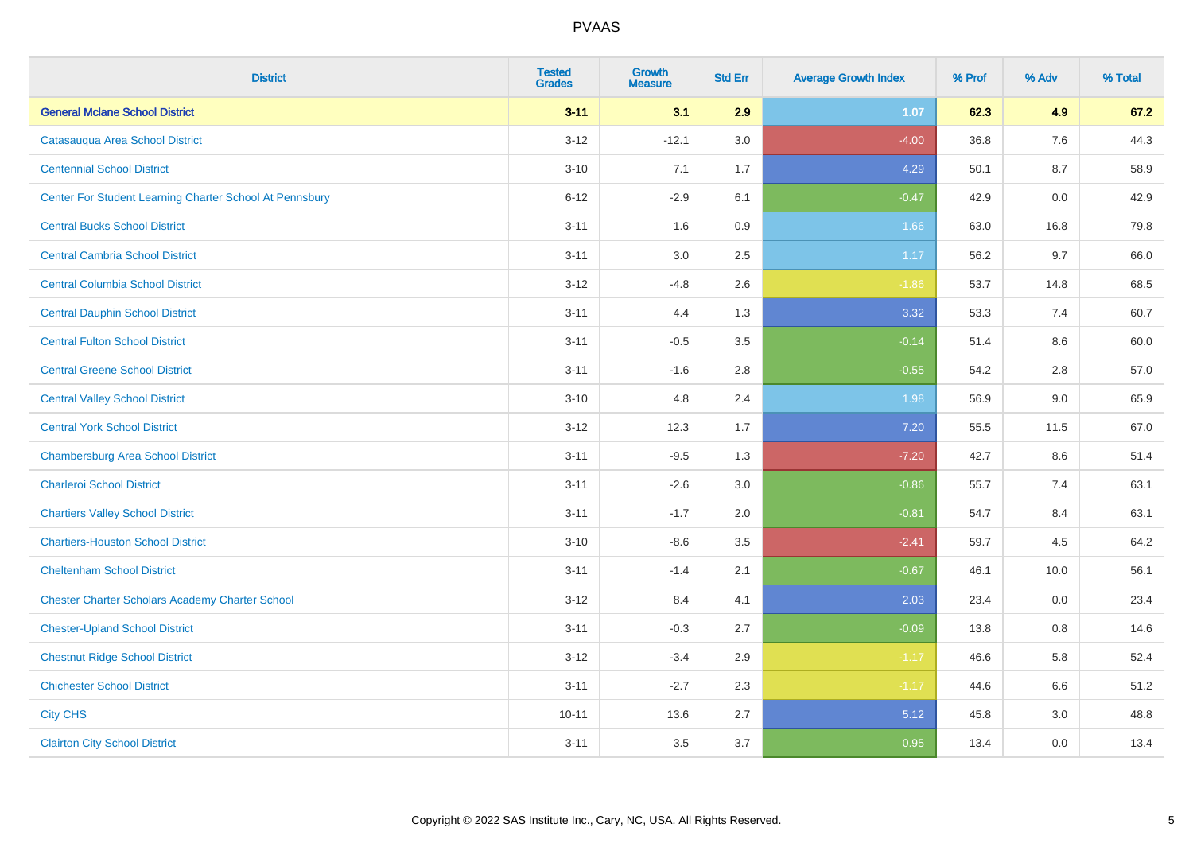| <b>District</b>                                         | <b>Tested</b><br><b>Grades</b> | <b>Growth</b><br><b>Measure</b> | <b>Std Err</b> | <b>Average Growth Index</b> | % Prof | % Adv | % Total |
|---------------------------------------------------------|--------------------------------|---------------------------------|----------------|-----------------------------|--------|-------|---------|
| <b>General Mclane School District</b>                   | $3 - 11$                       | 3.1                             | 2.9            | 1.07                        | 62.3   | 4.9   | 67.2    |
| Catasauqua Area School District                         | $3 - 12$                       | $-12.1$                         | 3.0            | $-4.00$                     | 36.8   | 7.6   | 44.3    |
| <b>Centennial School District</b>                       | $3 - 10$                       | 7.1                             | 1.7            | 4.29                        | 50.1   | 8.7   | 58.9    |
| Center For Student Learning Charter School At Pennsbury | $6 - 12$                       | $-2.9$                          | 6.1            | $-0.47$                     | 42.9   | 0.0   | 42.9    |
| <b>Central Bucks School District</b>                    | $3 - 11$                       | 1.6                             | 0.9            | 1.66                        | 63.0   | 16.8  | 79.8    |
| <b>Central Cambria School District</b>                  | $3 - 11$                       | 3.0                             | 2.5            | 1.17                        | 56.2   | 9.7   | 66.0    |
| <b>Central Columbia School District</b>                 | $3 - 12$                       | $-4.8$                          | 2.6            | $-1.86$                     | 53.7   | 14.8  | 68.5    |
| <b>Central Dauphin School District</b>                  | $3 - 11$                       | 4.4                             | 1.3            | 3.32                        | 53.3   | 7.4   | 60.7    |
| <b>Central Fulton School District</b>                   | $3 - 11$                       | $-0.5$                          | 3.5            | $-0.14$                     | 51.4   | 8.6   | 60.0    |
| <b>Central Greene School District</b>                   | $3 - 11$                       | $-1.6$                          | 2.8            | $-0.55$                     | 54.2   | 2.8   | 57.0    |
| <b>Central Valley School District</b>                   | $3 - 10$                       | 4.8                             | 2.4            | 1.98                        | 56.9   | 9.0   | 65.9    |
| <b>Central York School District</b>                     | $3 - 12$                       | 12.3                            | 1.7            | 7.20                        | 55.5   | 11.5  | 67.0    |
| <b>Chambersburg Area School District</b>                | $3 - 11$                       | $-9.5$                          | 1.3            | $-7.20$                     | 42.7   | 8.6   | 51.4    |
| <b>Charleroi School District</b>                        | $3 - 11$                       | $-2.6$                          | 3.0            | $-0.86$                     | 55.7   | 7.4   | 63.1    |
| <b>Chartiers Valley School District</b>                 | $3 - 11$                       | $-1.7$                          | 2.0            | $-0.81$                     | 54.7   | 8.4   | 63.1    |
| <b>Chartiers-Houston School District</b>                | $3 - 10$                       | $-8.6$                          | 3.5            | $-2.41$                     | 59.7   | 4.5   | 64.2    |
| <b>Cheltenham School District</b>                       | $3 - 11$                       | $-1.4$                          | 2.1            | $-0.67$                     | 46.1   | 10.0  | 56.1    |
| <b>Chester Charter Scholars Academy Charter School</b>  | $3 - 12$                       | 8.4                             | 4.1            | 2.03                        | 23.4   | 0.0   | 23.4    |
| <b>Chester-Upland School District</b>                   | $3 - 11$                       | $-0.3$                          | 2.7            | $-0.09$                     | 13.8   | 0.8   | 14.6    |
| <b>Chestnut Ridge School District</b>                   | $3 - 12$                       | $-3.4$                          | 2.9            | $-1.17$                     | 46.6   | 5.8   | 52.4    |
| <b>Chichester School District</b>                       | $3 - 11$                       | $-2.7$                          | 2.3            | $-1.17$                     | 44.6   | 6.6   | 51.2    |
| <b>City CHS</b>                                         | $10 - 11$                      | 13.6                            | 2.7            | 5.12                        | 45.8   | 3.0   | 48.8    |
| <b>Clairton City School District</b>                    | $3 - 11$                       | 3.5                             | 3.7            | 0.95                        | 13.4   | 0.0   | 13.4    |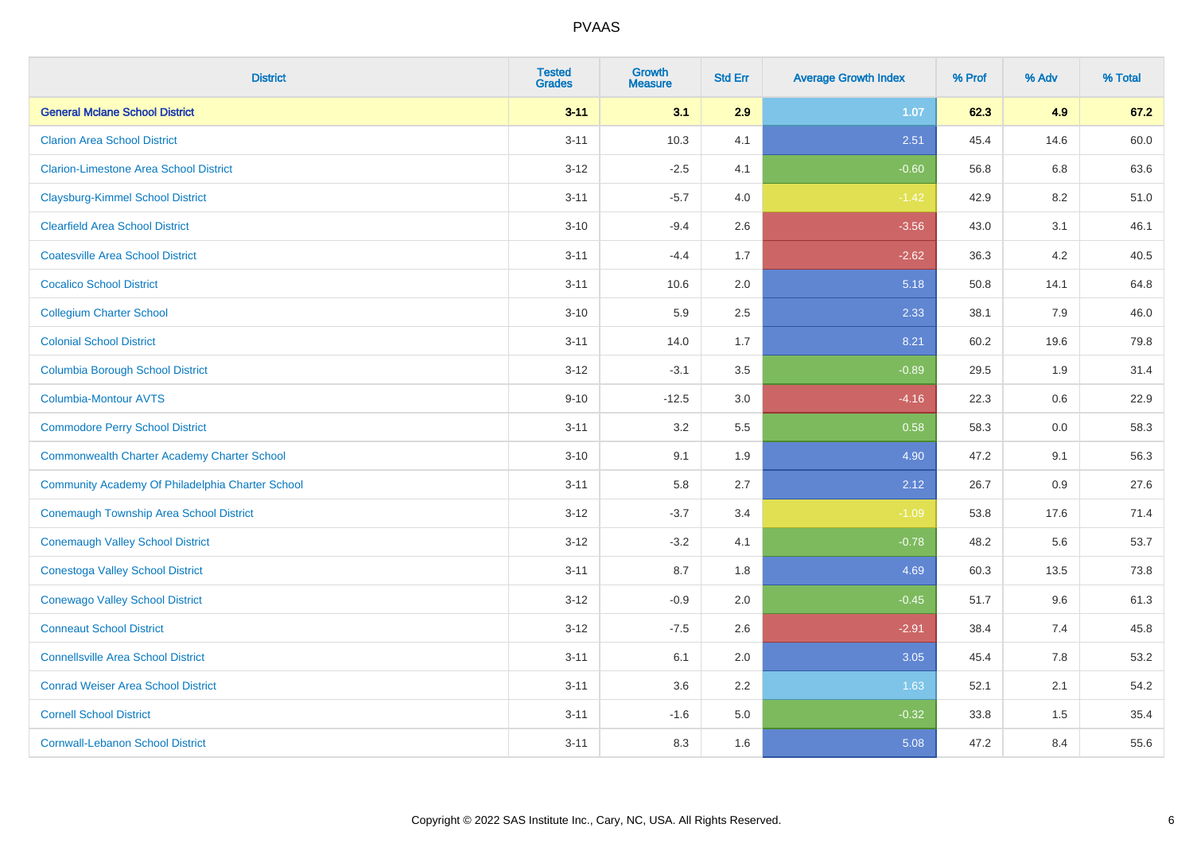| <b>District</b>                                    | <b>Tested</b><br><b>Grades</b> | <b>Growth</b><br><b>Measure</b> | <b>Std Err</b> | <b>Average Growth Index</b> | % Prof | % Adv | % Total |
|----------------------------------------------------|--------------------------------|---------------------------------|----------------|-----------------------------|--------|-------|---------|
| <b>General Mclane School District</b>              | $3 - 11$                       | 3.1                             | 2.9            | 1.07                        | 62.3   | 4.9   | 67.2    |
| <b>Clarion Area School District</b>                | $3 - 11$                       | 10.3                            | 4.1            | 2.51                        | 45.4   | 14.6  | 60.0    |
| <b>Clarion-Limestone Area School District</b>      | $3 - 12$                       | $-2.5$                          | 4.1            | $-0.60$                     | 56.8   | 6.8   | 63.6    |
| <b>Claysburg-Kimmel School District</b>            | $3 - 11$                       | $-5.7$                          | 4.0            | $-1.42$                     | 42.9   | 8.2   | 51.0    |
| <b>Clearfield Area School District</b>             | $3 - 10$                       | $-9.4$                          | 2.6            | $-3.56$                     | 43.0   | 3.1   | 46.1    |
| <b>Coatesville Area School District</b>            | $3 - 11$                       | $-4.4$                          | 1.7            | $-2.62$                     | 36.3   | 4.2   | 40.5    |
| <b>Cocalico School District</b>                    | $3 - 11$                       | 10.6                            | 2.0            | 5.18                        | 50.8   | 14.1  | 64.8    |
| <b>Collegium Charter School</b>                    | $3 - 10$                       | 5.9                             | 2.5            | 2.33                        | 38.1   | 7.9   | 46.0    |
| <b>Colonial School District</b>                    | $3 - 11$                       | 14.0                            | 1.7            | 8.21                        | 60.2   | 19.6  | 79.8    |
| <b>Columbia Borough School District</b>            | $3 - 12$                       | $-3.1$                          | 3.5            | $-0.89$                     | 29.5   | 1.9   | 31.4    |
| <b>Columbia-Montour AVTS</b>                       | $9 - 10$                       | $-12.5$                         | 3.0            | $-4.16$                     | 22.3   | 0.6   | 22.9    |
| <b>Commodore Perry School District</b>             | $3 - 11$                       | 3.2                             | 5.5            | 0.58                        | 58.3   | 0.0   | 58.3    |
| <b>Commonwealth Charter Academy Charter School</b> | $3 - 10$                       | 9.1                             | 1.9            | 4.90                        | 47.2   | 9.1   | 56.3    |
| Community Academy Of Philadelphia Charter School   | $3 - 11$                       | 5.8                             | 2.7            | 2.12                        | 26.7   | 0.9   | 27.6    |
| Conemaugh Township Area School District            | $3-12$                         | $-3.7$                          | 3.4            | $-1.09$                     | 53.8   | 17.6  | 71.4    |
| <b>Conemaugh Valley School District</b>            | $3 - 12$                       | $-3.2$                          | 4.1            | $-0.78$                     | 48.2   | 5.6   | 53.7    |
| <b>Conestoga Valley School District</b>            | $3 - 11$                       | 8.7                             | 1.8            | 4.69                        | 60.3   | 13.5  | 73.8    |
| <b>Conewago Valley School District</b>             | $3 - 12$                       | $-0.9$                          | 2.0            | $-0.45$                     | 51.7   | 9.6   | 61.3    |
| <b>Conneaut School District</b>                    | $3-12$                         | $-7.5$                          | 2.6            | $-2.91$                     | 38.4   | 7.4   | 45.8    |
| <b>Connellsville Area School District</b>          | $3 - 11$                       | 6.1                             | 2.0            | 3.05                        | 45.4   | 7.8   | 53.2    |
| <b>Conrad Weiser Area School District</b>          | $3 - 11$                       | 3.6                             | 2.2            | 1.63                        | 52.1   | 2.1   | 54.2    |
| <b>Cornell School District</b>                     | $3 - 11$                       | $-1.6$                          | 5.0            | $-0.32$                     | 33.8   | 1.5   | 35.4    |
| <b>Cornwall-Lebanon School District</b>            | $3 - 11$                       | 8.3                             | 1.6            | 5.08                        | 47.2   | 8.4   | 55.6    |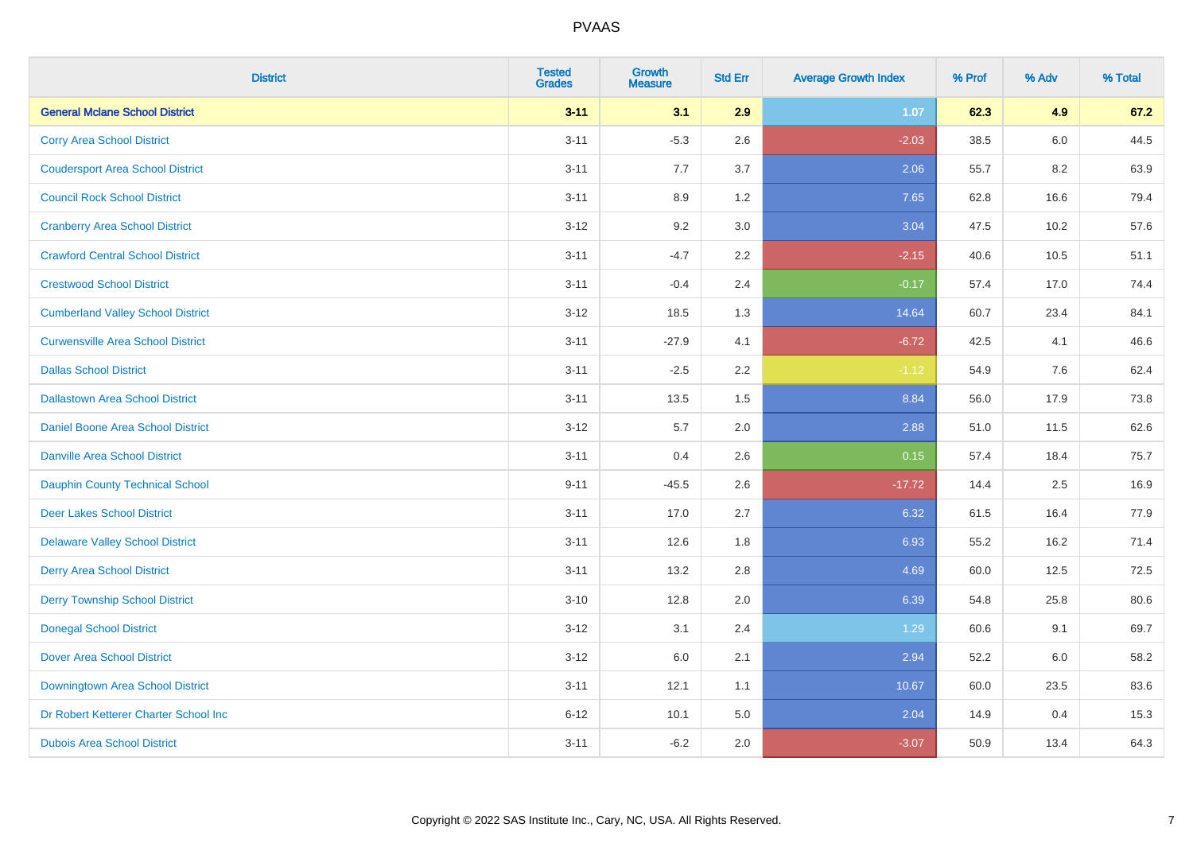| <b>District</b>                          | <b>Tested</b><br><b>Grades</b> | <b>Growth</b><br><b>Measure</b> | <b>Std Err</b> | <b>Average Growth Index</b> | % Prof | % Adv | % Total |
|------------------------------------------|--------------------------------|---------------------------------|----------------|-----------------------------|--------|-------|---------|
| <b>General Mclane School District</b>    | $3 - 11$                       | 3.1                             | 2.9            | 1.07                        | 62.3   | 4.9   | 67.2    |
| <b>Corry Area School District</b>        | $3 - 11$                       | $-5.3$                          | 2.6            | $-2.03$                     | 38.5   | 6.0   | 44.5    |
| <b>Coudersport Area School District</b>  | $3 - 11$                       | 7.7                             | 3.7            | 2.06                        | 55.7   | 8.2   | 63.9    |
| <b>Council Rock School District</b>      | $3 - 11$                       | 8.9                             | 1.2            | 7.65                        | 62.8   | 16.6  | 79.4    |
| <b>Cranberry Area School District</b>    | $3 - 12$                       | 9.2                             | 3.0            | 3.04                        | 47.5   | 10.2  | 57.6    |
| <b>Crawford Central School District</b>  | $3 - 11$                       | $-4.7$                          | 2.2            | $-2.15$                     | 40.6   | 10.5  | 51.1    |
| <b>Crestwood School District</b>         | $3 - 11$                       | $-0.4$                          | 2.4            | $-0.17$                     | 57.4   | 17.0  | 74.4    |
| <b>Cumberland Valley School District</b> | $3 - 12$                       | 18.5                            | 1.3            | 14.64                       | 60.7   | 23.4  | 84.1    |
| <b>Curwensville Area School District</b> | $3 - 11$                       | $-27.9$                         | 4.1            | $-6.72$                     | 42.5   | 4.1   | 46.6    |
| <b>Dallas School District</b>            | $3 - 11$                       | $-2.5$                          | 2.2            | $-1.12$                     | 54.9   | 7.6   | 62.4    |
| <b>Dallastown Area School District</b>   | $3 - 11$                       | 13.5                            | 1.5            | 8.84                        | 56.0   | 17.9  | 73.8    |
| <b>Daniel Boone Area School District</b> | $3 - 12$                       | 5.7                             | 2.0            | 2.88                        | 51.0   | 11.5  | 62.6    |
| Danville Area School District            | $3 - 11$                       | 0.4                             | 2.6            | 0.15                        | 57.4   | 18.4  | 75.7    |
| <b>Dauphin County Technical School</b>   | $9 - 11$                       | $-45.5$                         | 2.6            | $-17.72$                    | 14.4   | 2.5   | 16.9    |
| <b>Deer Lakes School District</b>        | $3 - 11$                       | 17.0                            | 2.7            | 6.32                        | 61.5   | 16.4  | 77.9    |
| <b>Delaware Valley School District</b>   | $3 - 11$                       | 12.6                            | 1.8            | 6.93                        | 55.2   | 16.2  | 71.4    |
| <b>Derry Area School District</b>        | $3 - 11$                       | 13.2                            | 2.8            | 4.69                        | 60.0   | 12.5  | 72.5    |
| <b>Derry Township School District</b>    | $3 - 10$                       | 12.8                            | 2.0            | 6.39                        | 54.8   | 25.8  | 80.6    |
| <b>Donegal School District</b>           | $3 - 12$                       | 3.1                             | 2.4            | 1.29                        | 60.6   | 9.1   | 69.7    |
| Dover Area School District               | $3 - 12$                       | 6.0                             | 2.1            | 2.94                        | 52.2   | 6.0   | 58.2    |
| Downingtown Area School District         | $3 - 11$                       | 12.1                            | 1.1            | 10.67                       | 60.0   | 23.5  | 83.6    |
| Dr Robert Ketterer Charter School Inc    | $6 - 12$                       | 10.1                            | 5.0            | 2.04                        | 14.9   | 0.4   | 15.3    |
| <b>Dubois Area School District</b>       | $3 - 11$                       | $-6.2$                          | 2.0            | $-3.07$                     | 50.9   | 13.4  | 64.3    |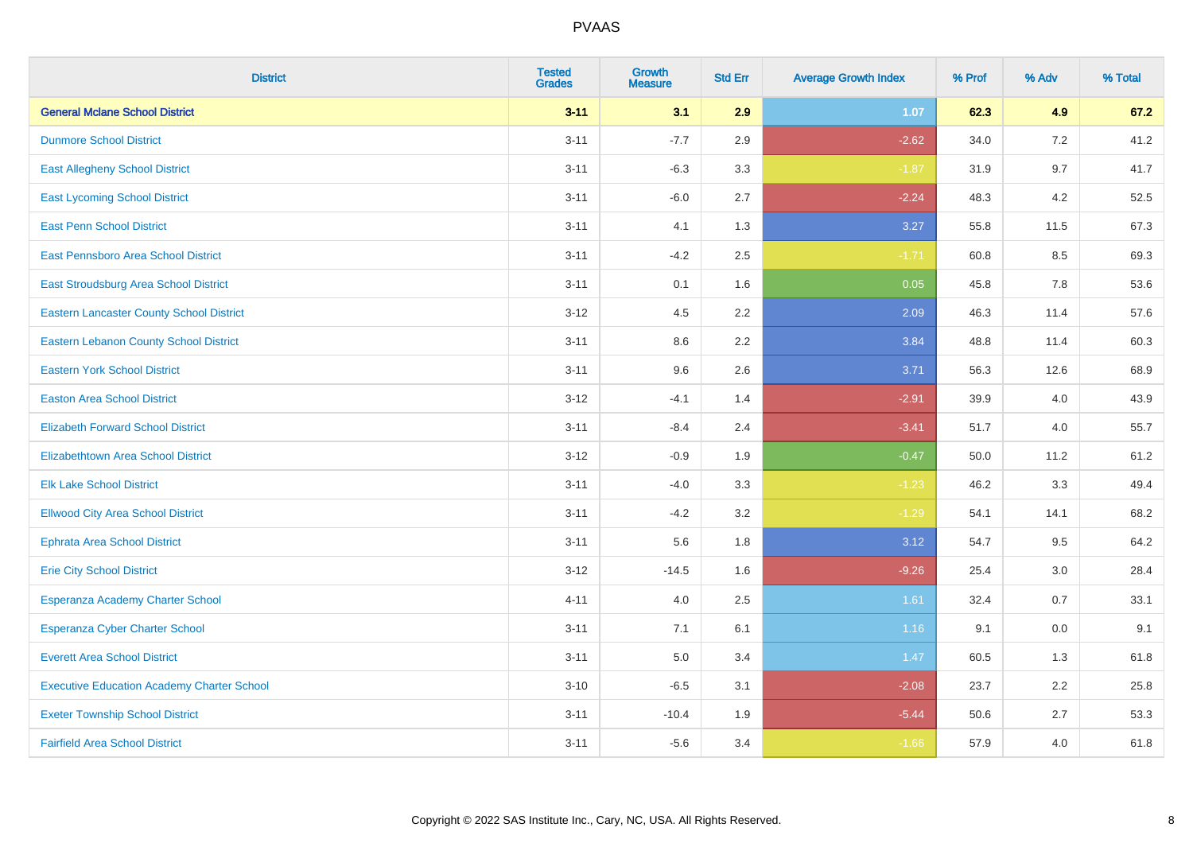| <b>District</b>                                   | <b>Tested</b><br><b>Grades</b> | <b>Growth</b><br><b>Measure</b> | <b>Std Err</b> | <b>Average Growth Index</b> | % Prof | % Adv | % Total |
|---------------------------------------------------|--------------------------------|---------------------------------|----------------|-----------------------------|--------|-------|---------|
| <b>General Mclane School District</b>             | $3 - 11$                       | 3.1                             | 2.9            | 1.07                        | 62.3   | 4.9   | 67.2    |
| <b>Dunmore School District</b>                    | $3 - 11$                       | $-7.7$                          | 2.9            | $-2.62$                     | 34.0   | 7.2   | 41.2    |
| <b>East Allegheny School District</b>             | $3 - 11$                       | $-6.3$                          | 3.3            | $-1.87$                     | 31.9   | 9.7   | 41.7    |
| <b>East Lycoming School District</b>              | $3 - 11$                       | $-6.0$                          | 2.7            | $-2.24$                     | 48.3   | 4.2   | 52.5    |
| <b>East Penn School District</b>                  | $3 - 11$                       | 4.1                             | 1.3            | 3.27                        | 55.8   | 11.5  | 67.3    |
| <b>East Pennsboro Area School District</b>        | $3 - 11$                       | $-4.2$                          | 2.5            | $-1.71$                     | 60.8   | 8.5   | 69.3    |
| East Stroudsburg Area School District             | $3 - 11$                       | 0.1                             | 1.6            | 0.05                        | 45.8   | 7.8   | 53.6    |
| <b>Eastern Lancaster County School District</b>   | $3 - 12$                       | 4.5                             | 2.2            | 2.09                        | 46.3   | 11.4  | 57.6    |
| <b>Eastern Lebanon County School District</b>     | $3 - 11$                       | 8.6                             | 2.2            | 3.84                        | 48.8   | 11.4  | 60.3    |
| <b>Eastern York School District</b>               | $3 - 11$                       | 9.6                             | 2.6            | 3.71                        | 56.3   | 12.6  | 68.9    |
| <b>Easton Area School District</b>                | $3 - 12$                       | $-4.1$                          | 1.4            | $-2.91$                     | 39.9   | 4.0   | 43.9    |
| <b>Elizabeth Forward School District</b>          | $3 - 11$                       | $-8.4$                          | 2.4            | $-3.41$                     | 51.7   | 4.0   | 55.7    |
| <b>Elizabethtown Area School District</b>         | $3 - 12$                       | $-0.9$                          | 1.9            | $-0.47$                     | 50.0   | 11.2  | 61.2    |
| <b>Elk Lake School District</b>                   | $3 - 11$                       | $-4.0$                          | 3.3            | $-1.23$                     | 46.2   | 3.3   | 49.4    |
| <b>Ellwood City Area School District</b>          | $3 - 11$                       | $-4.2$                          | 3.2            | $-1.29$                     | 54.1   | 14.1  | 68.2    |
| <b>Ephrata Area School District</b>               | $3 - 11$                       | 5.6                             | 1.8            | 3.12                        | 54.7   | 9.5   | 64.2    |
| <b>Erie City School District</b>                  | $3 - 12$                       | $-14.5$                         | 1.6            | $-9.26$                     | 25.4   | 3.0   | 28.4    |
| Esperanza Academy Charter School                  | $4 - 11$                       | 4.0                             | 2.5            | 1.61                        | 32.4   | 0.7   | 33.1    |
| <b>Esperanza Cyber Charter School</b>             | $3 - 11$                       | 7.1                             | 6.1            | 1.16                        | 9.1    | 0.0   | 9.1     |
| <b>Everett Area School District</b>               | $3 - 11$                       | 5.0                             | 3.4            | 1.47                        | 60.5   | 1.3   | 61.8    |
| <b>Executive Education Academy Charter School</b> | $3 - 10$                       | $-6.5$                          | 3.1            | $-2.08$                     | 23.7   | 2.2   | 25.8    |
| <b>Exeter Township School District</b>            | $3 - 11$                       | $-10.4$                         | 1.9            | $-5.44$                     | 50.6   | 2.7   | 53.3    |
| <b>Fairfield Area School District</b>             | $3 - 11$                       | $-5.6$                          | 3.4            | $-1.66$                     | 57.9   | 4.0   | 61.8    |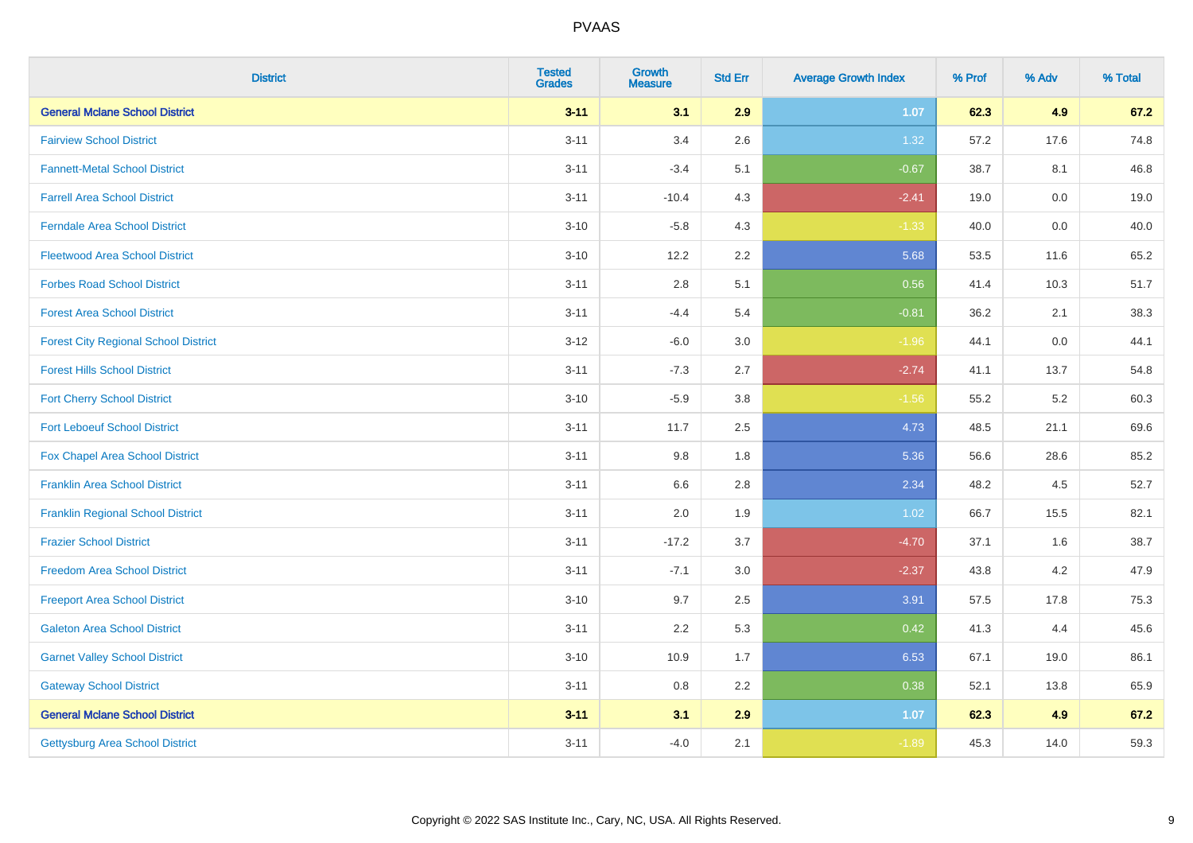| <b>District</b>                             | <b>Tested</b><br><b>Grades</b> | <b>Growth</b><br><b>Measure</b> | <b>Std Err</b> | <b>Average Growth Index</b> | % Prof | % Adv   | % Total |
|---------------------------------------------|--------------------------------|---------------------------------|----------------|-----------------------------|--------|---------|---------|
| <b>General Mclane School District</b>       | $3 - 11$                       | 3.1                             | 2.9            | 1.07                        | 62.3   | 4.9     | 67.2    |
| <b>Fairview School District</b>             | $3 - 11$                       | 3.4                             | 2.6            | 1.32                        | 57.2   | 17.6    | 74.8    |
| <b>Fannett-Metal School District</b>        | $3 - 11$                       | $-3.4$                          | 5.1            | $-0.67$                     | 38.7   | 8.1     | 46.8    |
| <b>Farrell Area School District</b>         | $3 - 11$                       | $-10.4$                         | 4.3            | $-2.41$                     | 19.0   | $0.0\,$ | 19.0    |
| <b>Ferndale Area School District</b>        | $3 - 10$                       | $-5.8$                          | 4.3            | $-1.33$                     | 40.0   | 0.0     | 40.0    |
| <b>Fleetwood Area School District</b>       | $3 - 10$                       | 12.2                            | 2.2            | 5.68                        | 53.5   | 11.6    | 65.2    |
| <b>Forbes Road School District</b>          | $3 - 11$                       | 2.8                             | 5.1            | 0.56                        | 41.4   | 10.3    | 51.7    |
| <b>Forest Area School District</b>          | $3 - 11$                       | $-4.4$                          | 5.4            | $-0.81$                     | 36.2   | 2.1     | 38.3    |
| <b>Forest City Regional School District</b> | $3-12$                         | $-6.0$                          | 3.0            | $-1.96$                     | 44.1   | $0.0\,$ | 44.1    |
| <b>Forest Hills School District</b>         | $3 - 11$                       | $-7.3$                          | 2.7            | $-2.74$                     | 41.1   | 13.7    | 54.8    |
| <b>Fort Cherry School District</b>          | $3 - 10$                       | $-5.9$                          | 3.8            | $-1.56$                     | 55.2   | $5.2\,$ | 60.3    |
| <b>Fort Leboeuf School District</b>         | $3 - 11$                       | 11.7                            | 2.5            | 4.73                        | 48.5   | 21.1    | 69.6    |
| Fox Chapel Area School District             | $3 - 11$                       | 9.8                             | 1.8            | 5.36                        | 56.6   | 28.6    | 85.2    |
| <b>Franklin Area School District</b>        | $3 - 11$                       | 6.6                             | 2.8            | 2.34                        | 48.2   | 4.5     | 52.7    |
| <b>Franklin Regional School District</b>    | $3 - 11$                       | 2.0                             | 1.9            | 1.02                        | 66.7   | 15.5    | 82.1    |
| <b>Frazier School District</b>              | $3 - 11$                       | $-17.2$                         | 3.7            | $-4.70$                     | 37.1   | 1.6     | 38.7    |
| <b>Freedom Area School District</b>         | $3 - 11$                       | $-7.1$                          | 3.0            | $-2.37$                     | 43.8   | 4.2     | 47.9    |
| <b>Freeport Area School District</b>        | $3 - 10$                       | 9.7                             | 2.5            | 3.91                        | 57.5   | 17.8    | 75.3    |
| <b>Galeton Area School District</b>         | $3 - 11$                       | 2.2                             | 5.3            | 0.42                        | 41.3   | 4.4     | 45.6    |
| <b>Garnet Valley School District</b>        | $3 - 10$                       | 10.9                            | 1.7            | 6.53                        | 67.1   | 19.0    | 86.1    |
| <b>Gateway School District</b>              | $3 - 11$                       | 0.8                             | 2.2            | 0.38                        | 52.1   | 13.8    | 65.9    |
| <b>General Mclane School District</b>       | $3 - 11$                       | 3.1                             | 2.9            | 1.07                        | 62.3   | 4.9     | 67.2    |
| <b>Gettysburg Area School District</b>      | $3 - 11$                       | $-4.0$                          | 2.1            | $-1.89$                     | 45.3   | 14.0    | 59.3    |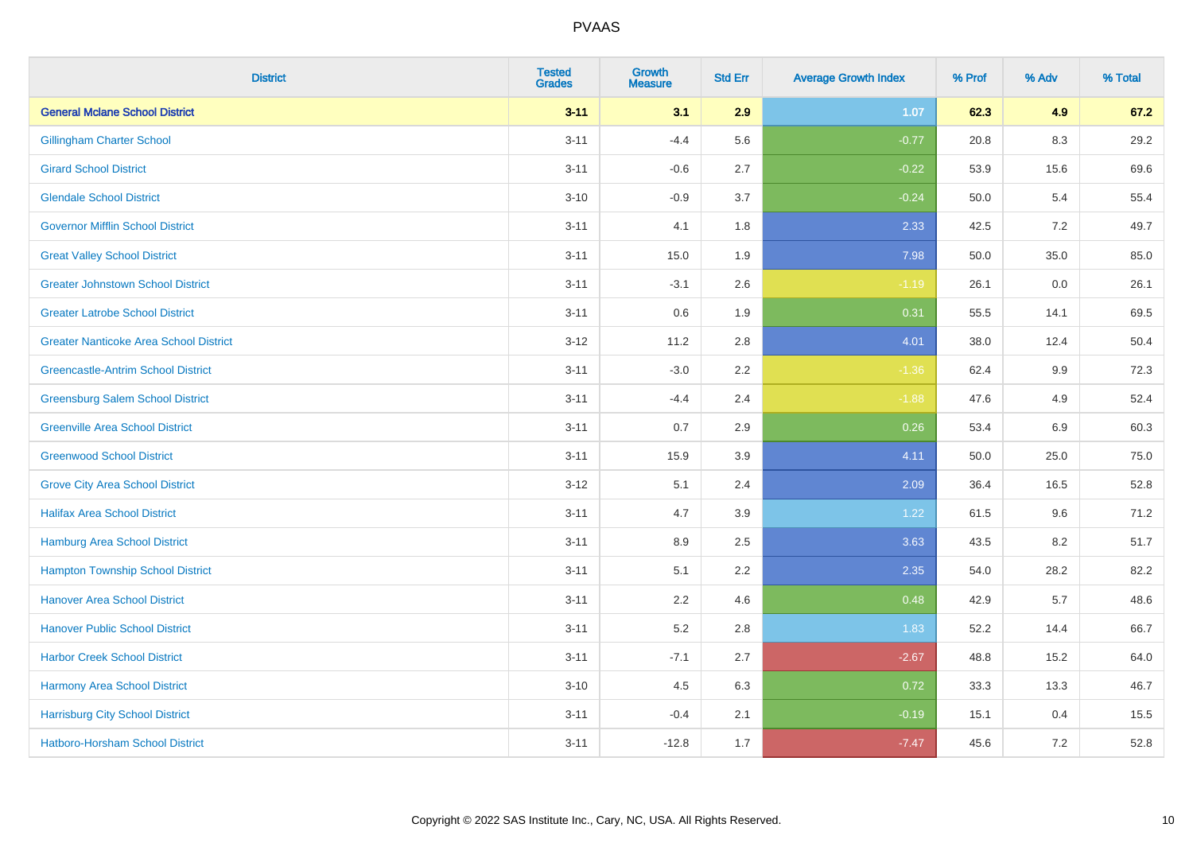| <b>District</b>                               | <b>Tested</b><br><b>Grades</b> | <b>Growth</b><br><b>Measure</b> | <b>Std Err</b> | <b>Average Growth Index</b> | % Prof | % Adv   | % Total |
|-----------------------------------------------|--------------------------------|---------------------------------|----------------|-----------------------------|--------|---------|---------|
| <b>General Mclane School District</b>         | $3 - 11$                       | 3.1                             | 2.9            | 1.07                        | 62.3   | 4.9     | 67.2    |
| <b>Gillingham Charter School</b>              | $3 - 11$                       | $-4.4$                          | 5.6            | $-0.77$                     | 20.8   | $8.3\,$ | 29.2    |
| <b>Girard School District</b>                 | $3 - 11$                       | $-0.6$                          | 2.7            | $-0.22$                     | 53.9   | 15.6    | 69.6    |
| <b>Glendale School District</b>               | $3 - 10$                       | $-0.9$                          | 3.7            | $-0.24$                     | 50.0   | 5.4     | 55.4    |
| <b>Governor Mifflin School District</b>       | $3 - 11$                       | 4.1                             | 1.8            | 2.33                        | 42.5   | 7.2     | 49.7    |
| <b>Great Valley School District</b>           | $3 - 11$                       | 15.0                            | 1.9            | 7.98                        | 50.0   | 35.0    | 85.0    |
| <b>Greater Johnstown School District</b>      | $3 - 11$                       | $-3.1$                          | 2.6            | $-1.19$                     | 26.1   | 0.0     | 26.1    |
| <b>Greater Latrobe School District</b>        | $3 - 11$                       | 0.6                             | 1.9            | 0.31                        | 55.5   | 14.1    | 69.5    |
| <b>Greater Nanticoke Area School District</b> | $3 - 12$                       | 11.2                            | 2.8            | 4.01                        | 38.0   | 12.4    | 50.4    |
| <b>Greencastle-Antrim School District</b>     | $3 - 11$                       | $-3.0$                          | 2.2            | $-1.36$                     | 62.4   | 9.9     | 72.3    |
| <b>Greensburg Salem School District</b>       | $3 - 11$                       | $-4.4$                          | 2.4            | $-1.88$                     | 47.6   | 4.9     | 52.4    |
| <b>Greenville Area School District</b>        | $3 - 11$                       | 0.7                             | 2.9            | 0.26                        | 53.4   | 6.9     | 60.3    |
| <b>Greenwood School District</b>              | $3 - 11$                       | 15.9                            | 3.9            | 4.11                        | 50.0   | 25.0    | 75.0    |
| <b>Grove City Area School District</b>        | $3 - 12$                       | 5.1                             | 2.4            | 2.09                        | 36.4   | 16.5    | 52.8    |
| <b>Halifax Area School District</b>           | $3 - 11$                       | 4.7                             | 3.9            | 1.22                        | 61.5   | 9.6     | 71.2    |
| <b>Hamburg Area School District</b>           | $3 - 11$                       | 8.9                             | 2.5            | 3.63                        | 43.5   | 8.2     | 51.7    |
| <b>Hampton Township School District</b>       | $3 - 11$                       | 5.1                             | 2.2            | 2.35                        | 54.0   | 28.2    | 82.2    |
| <b>Hanover Area School District</b>           | $3 - 11$                       | 2.2                             | 4.6            | 0.48                        | 42.9   | 5.7     | 48.6    |
| <b>Hanover Public School District</b>         | $3 - 11$                       | 5.2                             | 2.8            | 1.83                        | 52.2   | 14.4    | 66.7    |
| <b>Harbor Creek School District</b>           | $3 - 11$                       | $-7.1$                          | 2.7            | $-2.67$                     | 48.8   | 15.2    | 64.0    |
| Harmony Area School District                  | $3 - 10$                       | 4.5                             | 6.3            | 0.72                        | 33.3   | 13.3    | 46.7    |
| <b>Harrisburg City School District</b>        | $3 - 11$                       | $-0.4$                          | 2.1            | $-0.19$                     | 15.1   | 0.4     | 15.5    |
| <b>Hatboro-Horsham School District</b>        | $3 - 11$                       | $-12.8$                         | 1.7            | $-7.47$                     | 45.6   | 7.2     | 52.8    |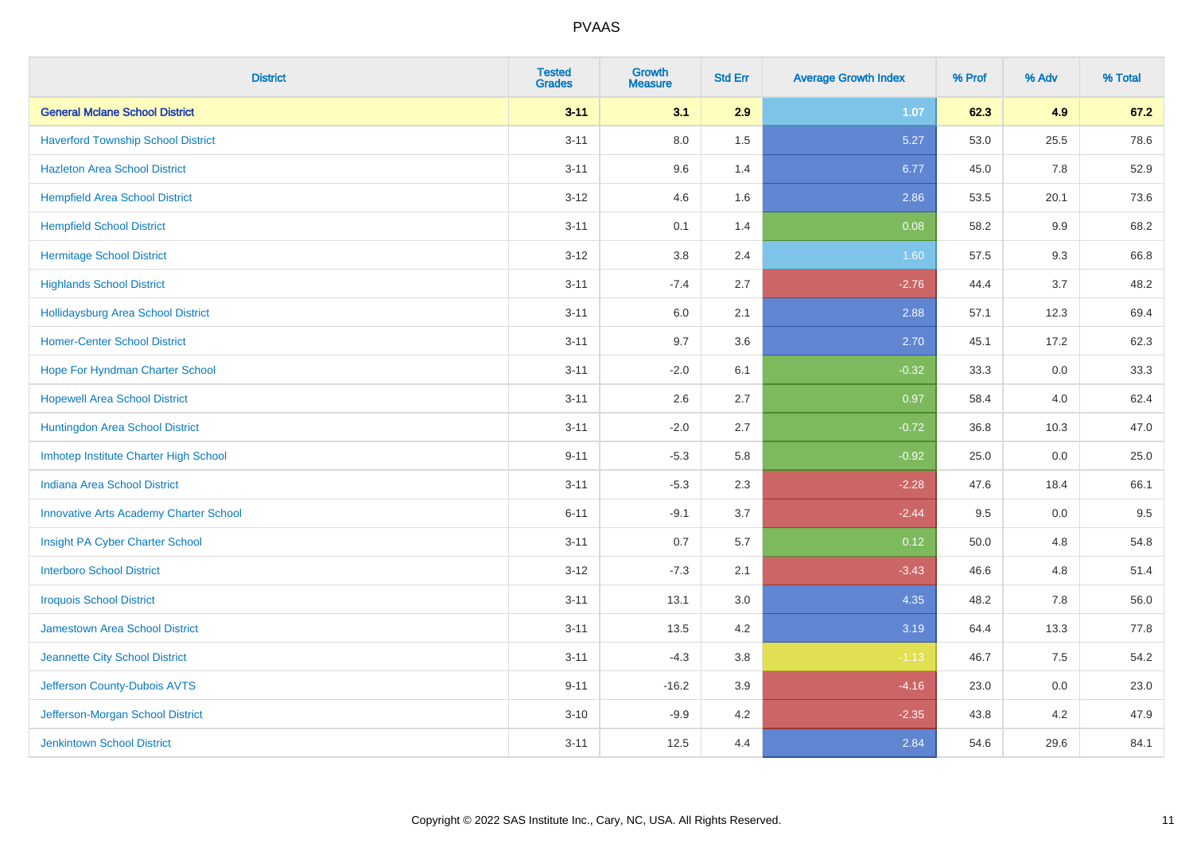| <b>District</b>                               | <b>Tested</b><br><b>Grades</b> | <b>Growth</b><br><b>Measure</b> | <b>Std Err</b> | <b>Average Growth Index</b> | % Prof | % Adv   | % Total |
|-----------------------------------------------|--------------------------------|---------------------------------|----------------|-----------------------------|--------|---------|---------|
| <b>General Mclane School District</b>         | $3 - 11$                       | 3.1                             | 2.9            | 1.07                        | 62.3   | 4.9     | 67.2    |
| <b>Haverford Township School District</b>     | $3 - 11$                       | $8.0\,$                         | 1.5            | 5.27                        | 53.0   | 25.5    | 78.6    |
| <b>Hazleton Area School District</b>          | $3 - 11$                       | 9.6                             | 1.4            | 6.77                        | 45.0   | 7.8     | 52.9    |
| <b>Hempfield Area School District</b>         | $3 - 12$                       | 4.6                             | 1.6            | 2.86                        | 53.5   | 20.1    | 73.6    |
| <b>Hempfield School District</b>              | $3 - 11$                       | 0.1                             | 1.4            | 0.08                        | 58.2   | 9.9     | 68.2    |
| <b>Hermitage School District</b>              | $3 - 12$                       | 3.8                             | 2.4            | 1.60                        | 57.5   | 9.3     | 66.8    |
| <b>Highlands School District</b>              | $3 - 11$                       | $-7.4$                          | 2.7            | $-2.76$                     | 44.4   | 3.7     | 48.2    |
| Hollidaysburg Area School District            | $3 - 11$                       | 6.0                             | 2.1            | 2.88                        | 57.1   | 12.3    | 69.4    |
| <b>Homer-Center School District</b>           | $3 - 11$                       | 9.7                             | 3.6            | 2.70                        | 45.1   | 17.2    | 62.3    |
| Hope For Hyndman Charter School               | $3 - 11$                       | $-2.0$                          | 6.1            | $-0.32$                     | 33.3   | 0.0     | 33.3    |
| <b>Hopewell Area School District</b>          | $3 - 11$                       | 2.6                             | 2.7            | 0.97                        | 58.4   | 4.0     | 62.4    |
| Huntingdon Area School District               | $3 - 11$                       | $-2.0$                          | 2.7            | $-0.72$                     | 36.8   | 10.3    | 47.0    |
| Imhotep Institute Charter High School         | $9 - 11$                       | $-5.3$                          | 5.8            | $-0.92$                     | 25.0   | $0.0\,$ | 25.0    |
| Indiana Area School District                  | $3 - 11$                       | $-5.3$                          | 2.3            | $-2.28$                     | 47.6   | 18.4    | 66.1    |
| <b>Innovative Arts Academy Charter School</b> | $6 - 11$                       | $-9.1$                          | 3.7            | $-2.44$                     | 9.5    | $0.0\,$ | 9.5     |
| Insight PA Cyber Charter School               | $3 - 11$                       | 0.7                             | 5.7            | 0.12                        | 50.0   | 4.8     | 54.8    |
| <b>Interboro School District</b>              | $3 - 12$                       | $-7.3$                          | 2.1            | $-3.43$                     | 46.6   | 4.8     | 51.4    |
| <b>Iroquois School District</b>               | $3 - 11$                       | 13.1                            | 3.0            | 4.35                        | 48.2   | 7.8     | 56.0    |
| <b>Jamestown Area School District</b>         | $3 - 11$                       | 13.5                            | 4.2            | 3.19                        | 64.4   | 13.3    | 77.8    |
| Jeannette City School District                | $3 - 11$                       | $-4.3$                          | $3.8\,$        | $-1.13$                     | 46.7   | 7.5     | 54.2    |
| Jefferson County-Dubois AVTS                  | $9 - 11$                       | $-16.2$                         | 3.9            | $-4.16$                     | 23.0   | 0.0     | 23.0    |
| Jefferson-Morgan School District              | $3 - 10$                       | $-9.9$                          | 4.2            | $-2.35$                     | 43.8   | 4.2     | 47.9    |
| <b>Jenkintown School District</b>             | $3 - 11$                       | 12.5                            | 4.4            | 2.84                        | 54.6   | 29.6    | 84.1    |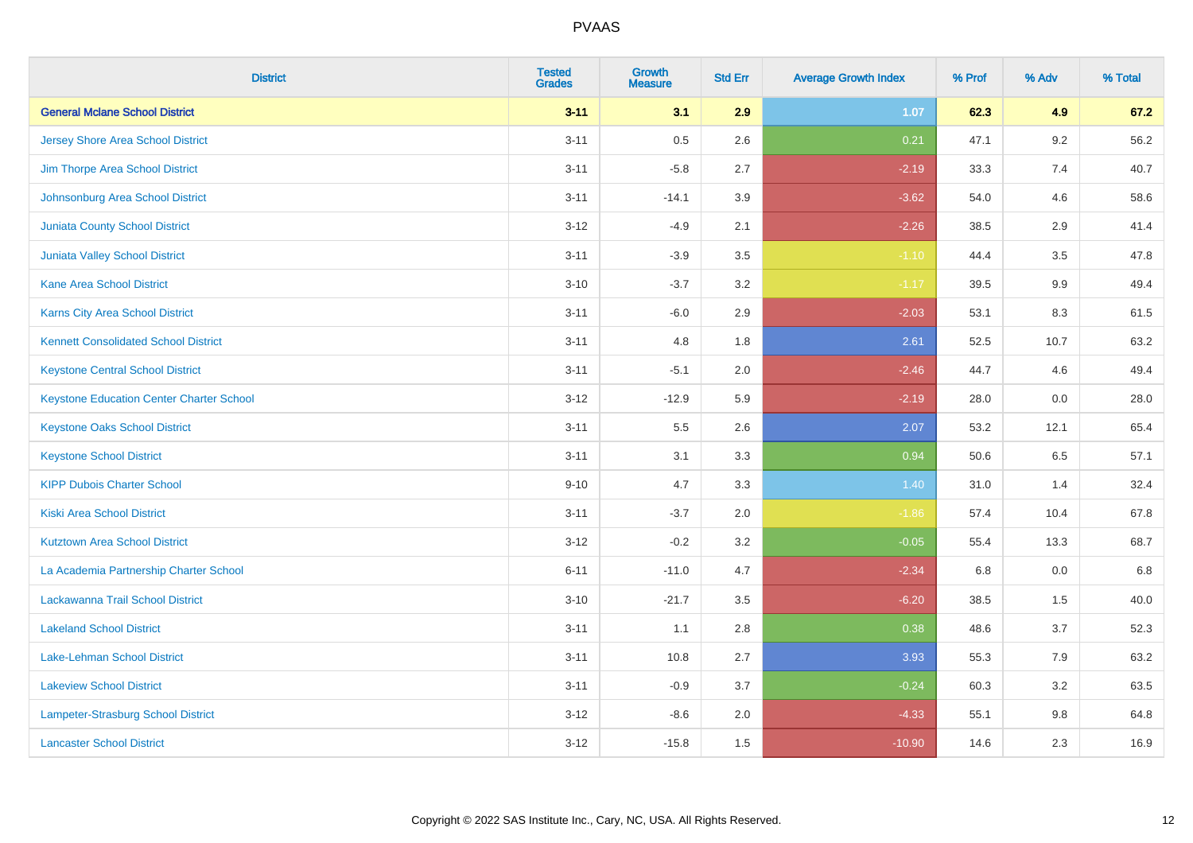| <b>District</b>                                 | <b>Tested</b><br><b>Grades</b> | <b>Growth</b><br><b>Measure</b> | <b>Std Err</b> | <b>Average Growth Index</b> | % Prof | % Adv   | % Total |
|-------------------------------------------------|--------------------------------|---------------------------------|----------------|-----------------------------|--------|---------|---------|
| <b>General Mclane School District</b>           | $3 - 11$                       | 3.1                             | 2.9            | 1.07                        | 62.3   | 4.9     | 67.2    |
| <b>Jersey Shore Area School District</b>        | $3 - 11$                       | 0.5                             | 2.6            | 0.21                        | 47.1   | $9.2\,$ | 56.2    |
| Jim Thorpe Area School District                 | $3 - 11$                       | $-5.8$                          | 2.7            | $-2.19$                     | 33.3   | 7.4     | 40.7    |
| Johnsonburg Area School District                | $3 - 11$                       | $-14.1$                         | 3.9            | $-3.62$                     | 54.0   | 4.6     | 58.6    |
| <b>Juniata County School District</b>           | $3 - 12$                       | $-4.9$                          | 2.1            | $-2.26$                     | 38.5   | 2.9     | 41.4    |
| <b>Juniata Valley School District</b>           | $3 - 11$                       | $-3.9$                          | 3.5            | $-1.10$                     | 44.4   | 3.5     | 47.8    |
| <b>Kane Area School District</b>                | $3 - 10$                       | $-3.7$                          | 3.2            | $-1.17$                     | 39.5   | 9.9     | 49.4    |
| <b>Karns City Area School District</b>          | $3 - 11$                       | $-6.0$                          | 2.9            | $-2.03$                     | 53.1   | 8.3     | 61.5    |
| <b>Kennett Consolidated School District</b>     | $3 - 11$                       | 4.8                             | 1.8            | 2.61                        | 52.5   | 10.7    | 63.2    |
| <b>Keystone Central School District</b>         | $3 - 11$                       | $-5.1$                          | 2.0            | $-2.46$                     | 44.7   | 4.6     | 49.4    |
| <b>Keystone Education Center Charter School</b> | $3 - 12$                       | $-12.9$                         | 5.9            | $-2.19$                     | 28.0   | 0.0     | 28.0    |
| <b>Keystone Oaks School District</b>            | $3 - 11$                       | 5.5                             | 2.6            | 2.07                        | 53.2   | 12.1    | 65.4    |
| <b>Keystone School District</b>                 | $3 - 11$                       | 3.1                             | 3.3            | 0.94                        | 50.6   | 6.5     | 57.1    |
| <b>KIPP Dubois Charter School</b>               | $9 - 10$                       | 4.7                             | 3.3            | 1.40                        | 31.0   | 1.4     | 32.4    |
| <b>Kiski Area School District</b>               | $3 - 11$                       | $-3.7$                          | 2.0            | $-1.86$                     | 57.4   | 10.4    | 67.8    |
| <b>Kutztown Area School District</b>            | $3 - 12$                       | $-0.2$                          | 3.2            | $-0.05$                     | 55.4   | 13.3    | 68.7    |
| La Academia Partnership Charter School          | $6 - 11$                       | $-11.0$                         | 4.7            | $-2.34$                     | 6.8    | 0.0     | 6.8     |
| Lackawanna Trail School District                | $3 - 10$                       | $-21.7$                         | 3.5            | $-6.20$                     | 38.5   | 1.5     | 40.0    |
| <b>Lakeland School District</b>                 | $3 - 11$                       | 1.1                             | 2.8            | 0.38                        | 48.6   | 3.7     | 52.3    |
| <b>Lake-Lehman School District</b>              | $3 - 11$                       | 10.8                            | 2.7            | 3.93                        | 55.3   | 7.9     | 63.2    |
| <b>Lakeview School District</b>                 | $3 - 11$                       | $-0.9$                          | 3.7            | $-0.24$                     | 60.3   | 3.2     | 63.5    |
| Lampeter-Strasburg School District              | $3 - 12$                       | $-8.6$                          | 2.0            | $-4.33$                     | 55.1   | $9.8\,$ | 64.8    |
| <b>Lancaster School District</b>                | $3 - 12$                       | $-15.8$                         | 1.5            | $-10.90$                    | 14.6   | 2.3     | 16.9    |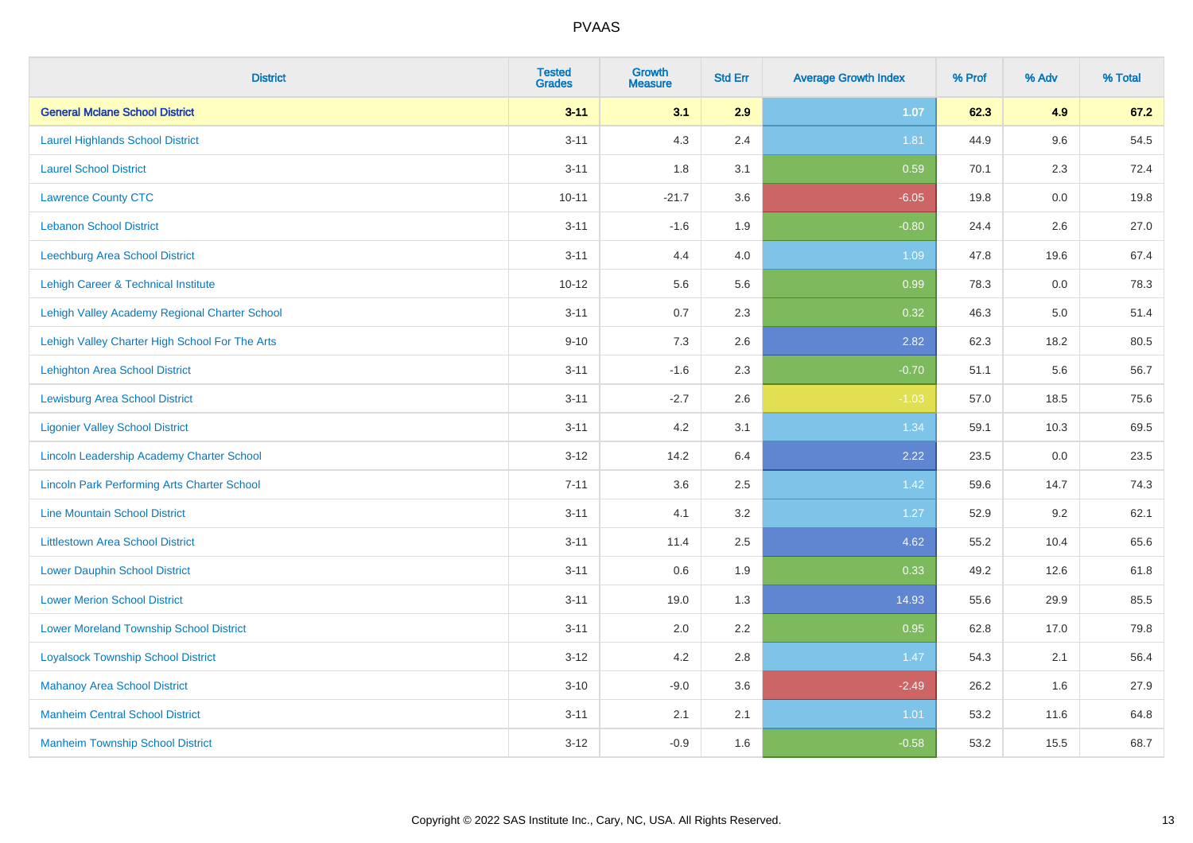| <b>District</b>                                    | <b>Tested</b><br><b>Grades</b> | <b>Growth</b><br><b>Measure</b> | <b>Std Err</b> | <b>Average Growth Index</b> | % Prof | % Adv   | % Total |
|----------------------------------------------------|--------------------------------|---------------------------------|----------------|-----------------------------|--------|---------|---------|
| <b>General Mclane School District</b>              | $3 - 11$                       | 3.1                             | 2.9            | 1.07                        | 62.3   | 4.9     | 67.2    |
| <b>Laurel Highlands School District</b>            | $3 - 11$                       | 4.3                             | 2.4            | 1.81                        | 44.9   | 9.6     | 54.5    |
| <b>Laurel School District</b>                      | $3 - 11$                       | 1.8                             | 3.1            | 0.59                        | 70.1   | 2.3     | 72.4    |
| <b>Lawrence County CTC</b>                         | $10 - 11$                      | $-21.7$                         | 3.6            | $-6.05$                     | 19.8   | $0.0\,$ | 19.8    |
| <b>Lebanon School District</b>                     | $3 - 11$                       | $-1.6$                          | 1.9            | $-0.80$                     | 24.4   | 2.6     | 27.0    |
| Leechburg Area School District                     | $3 - 11$                       | 4.4                             | 4.0            | 1.09                        | 47.8   | 19.6    | 67.4    |
| Lehigh Career & Technical Institute                | $10 - 12$                      | 5.6                             | 5.6            | 0.99                        | 78.3   | 0.0     | 78.3    |
| Lehigh Valley Academy Regional Charter School      | $3 - 11$                       | 0.7                             | 2.3            | 0.32                        | 46.3   | 5.0     | 51.4    |
| Lehigh Valley Charter High School For The Arts     | $9 - 10$                       | 7.3                             | 2.6            | 2.82                        | 62.3   | 18.2    | 80.5    |
| Lehighton Area School District                     | $3 - 11$                       | $-1.6$                          | 2.3            | $-0.70$                     | 51.1   | 5.6     | 56.7    |
| <b>Lewisburg Area School District</b>              | $3 - 11$                       | $-2.7$                          | 2.6            | $-1.03$                     | 57.0   | 18.5    | 75.6    |
| <b>Ligonier Valley School District</b>             | $3 - 11$                       | 4.2                             | 3.1            | 1.34                        | 59.1   | 10.3    | 69.5    |
| Lincoln Leadership Academy Charter School          | $3 - 12$                       | 14.2                            | 6.4            | 2.22                        | 23.5   | $0.0\,$ | 23.5    |
| <b>Lincoln Park Performing Arts Charter School</b> | $7 - 11$                       | 3.6                             | 2.5            | 1.42                        | 59.6   | 14.7    | 74.3    |
| <b>Line Mountain School District</b>               | $3 - 11$                       | 4.1                             | 3.2            | 1.27                        | 52.9   | 9.2     | 62.1    |
| <b>Littlestown Area School District</b>            | $3 - 11$                       | 11.4                            | 2.5            | 4.62                        | 55.2   | 10.4    | 65.6    |
| <b>Lower Dauphin School District</b>               | $3 - 11$                       | 0.6                             | 1.9            | 0.33                        | 49.2   | 12.6    | 61.8    |
| <b>Lower Merion School District</b>                | $3 - 11$                       | 19.0                            | 1.3            | 14.93                       | 55.6   | 29.9    | 85.5    |
| <b>Lower Moreland Township School District</b>     | $3 - 11$                       | 2.0                             | 2.2            | 0.95                        | 62.8   | 17.0    | 79.8    |
| <b>Loyalsock Township School District</b>          | $3 - 12$                       | 4.2                             | 2.8            | 1.47                        | 54.3   | 2.1     | 56.4    |
| <b>Mahanoy Area School District</b>                | $3 - 10$                       | $-9.0$                          | 3.6            | $-2.49$                     | 26.2   | 1.6     | 27.9    |
| <b>Manheim Central School District</b>             | $3 - 11$                       | 2.1                             | 2.1            | 1.01                        | 53.2   | 11.6    | 64.8    |
| <b>Manheim Township School District</b>            | $3 - 12$                       | $-0.9$                          | 1.6            | $-0.58$                     | 53.2   | 15.5    | 68.7    |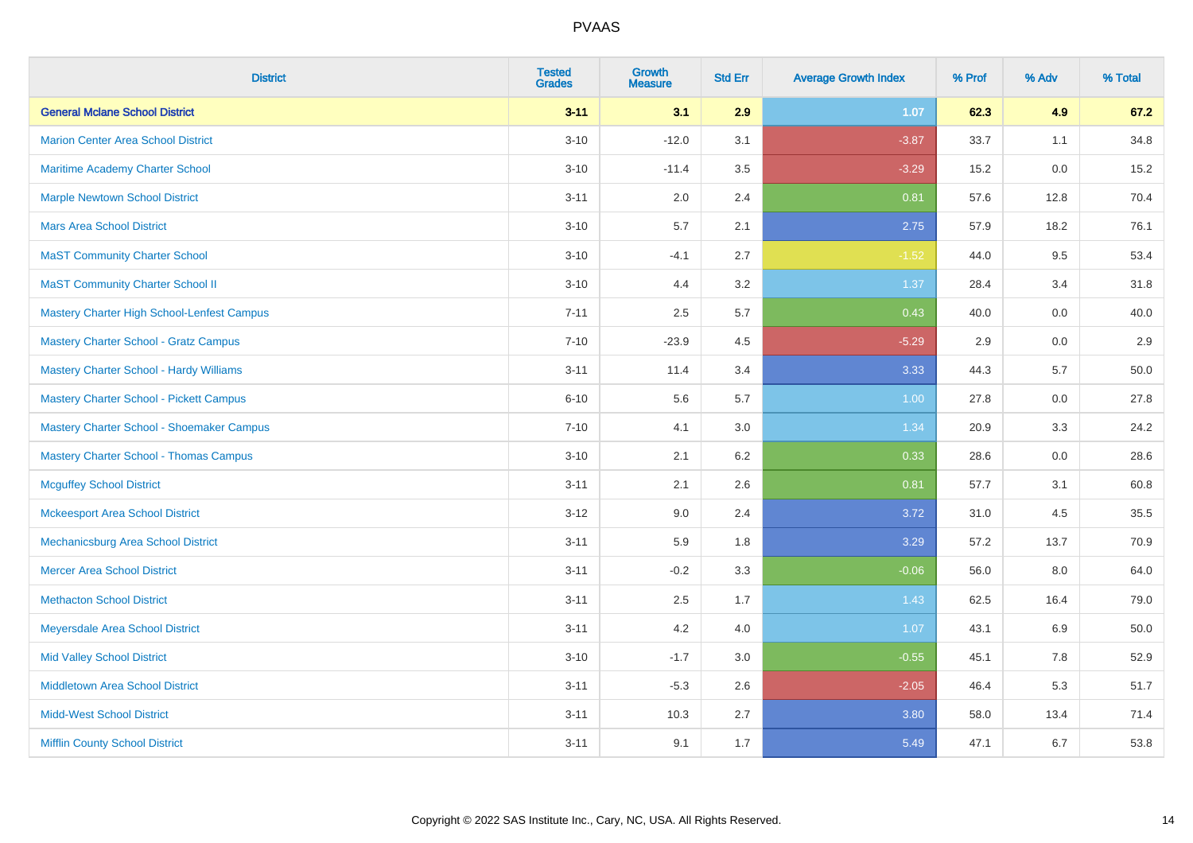| <b>District</b>                            | <b>Tested</b><br><b>Grades</b> | <b>Growth</b><br><b>Measure</b> | <b>Std Err</b> | <b>Average Growth Index</b> | % Prof | % Adv   | % Total |
|--------------------------------------------|--------------------------------|---------------------------------|----------------|-----------------------------|--------|---------|---------|
| <b>General Mclane School District</b>      | $3 - 11$                       | 3.1                             | 2.9            | 1.07                        | 62.3   | 4.9     | 67.2    |
| <b>Marion Center Area School District</b>  | $3 - 10$                       | $-12.0$                         | 3.1            | $-3.87$                     | 33.7   | 1.1     | 34.8    |
| Maritime Academy Charter School            | $3 - 10$                       | $-11.4$                         | 3.5            | $-3.29$                     | 15.2   | $0.0\,$ | 15.2    |
| <b>Marple Newtown School District</b>      | $3 - 11$                       | 2.0                             | 2.4            | 0.81                        | 57.6   | 12.8    | 70.4    |
| <b>Mars Area School District</b>           | $3 - 10$                       | 5.7                             | 2.1            | 2.75                        | 57.9   | 18.2    | 76.1    |
| <b>MaST Community Charter School</b>       | $3 - 10$                       | $-4.1$                          | 2.7            | $-1.52$                     | 44.0   | 9.5     | 53.4    |
| <b>MaST Community Charter School II</b>    | $3 - 10$                       | 4.4                             | 3.2            | 1.37                        | 28.4   | 3.4     | 31.8    |
| Mastery Charter High School-Lenfest Campus | $7 - 11$                       | 2.5                             | 5.7            | 0.43                        | 40.0   | 0.0     | 40.0    |
| Mastery Charter School - Gratz Campus      | $7 - 10$                       | $-23.9$                         | 4.5            | $-5.29$                     | 2.9    | 0.0     | 2.9     |
| Mastery Charter School - Hardy Williams    | $3 - 11$                       | 11.4                            | 3.4            | 3.33                        | 44.3   | 5.7     | 50.0    |
| Mastery Charter School - Pickett Campus    | $6 - 10$                       | 5.6                             | 5.7            | 1.00                        | 27.8   | 0.0     | 27.8    |
| Mastery Charter School - Shoemaker Campus  | $7 - 10$                       | 4.1                             | 3.0            | 1.34                        | 20.9   | 3.3     | 24.2    |
| Mastery Charter School - Thomas Campus     | $3 - 10$                       | 2.1                             | 6.2            | 0.33                        | 28.6   | $0.0\,$ | 28.6    |
| <b>Mcguffey School District</b>            | $3 - 11$                       | 2.1                             | 2.6            | 0.81                        | 57.7   | 3.1     | 60.8    |
| <b>Mckeesport Area School District</b>     | $3 - 12$                       | 9.0                             | 2.4            | 3.72                        | 31.0   | 4.5     | 35.5    |
| Mechanicsburg Area School District         | $3 - 11$                       | 5.9                             | 1.8            | 3.29                        | 57.2   | 13.7    | 70.9    |
| <b>Mercer Area School District</b>         | $3 - 11$                       | $-0.2$                          | 3.3            | $-0.06$                     | 56.0   | 8.0     | 64.0    |
| <b>Methacton School District</b>           | $3 - 11$                       | 2.5                             | 1.7            | 1.43                        | 62.5   | 16.4    | 79.0    |
| Meyersdale Area School District            | $3 - 11$                       | 4.2                             | 4.0            | 1.07                        | 43.1   | 6.9     | 50.0    |
| <b>Mid Valley School District</b>          | $3 - 10$                       | $-1.7$                          | 3.0            | $-0.55$                     | 45.1   | 7.8     | 52.9    |
| <b>Middletown Area School District</b>     | $3 - 11$                       | $-5.3$                          | 2.6            | $-2.05$                     | 46.4   | 5.3     | 51.7    |
| <b>Midd-West School District</b>           | $3 - 11$                       | 10.3                            | 2.7            | 3.80                        | 58.0   | 13.4    | 71.4    |
| <b>Mifflin County School District</b>      | $3 - 11$                       | 9.1                             | 1.7            | 5.49                        | 47.1   | 6.7     | 53.8    |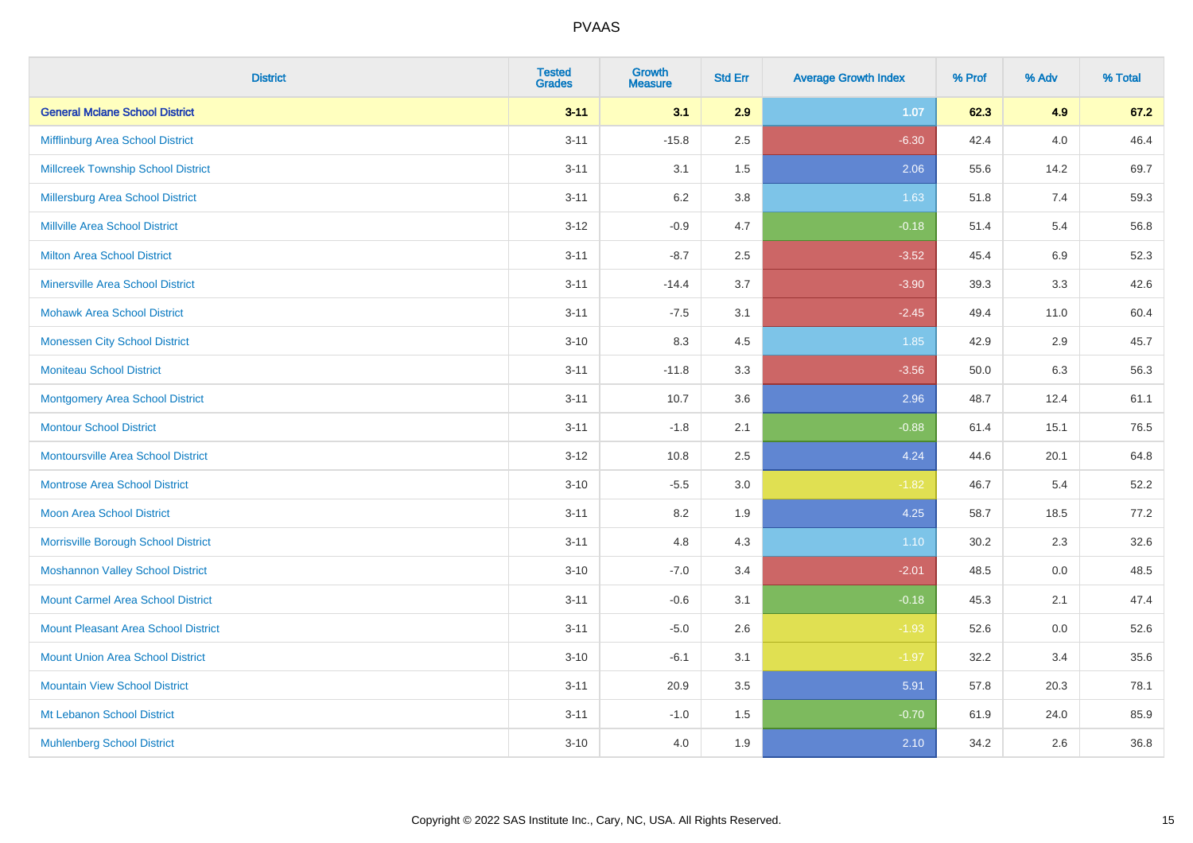| <b>District</b>                            | <b>Tested</b><br><b>Grades</b> | Growth<br><b>Measure</b> | <b>Std Err</b> | <b>Average Growth Index</b> | % Prof | % Adv   | % Total |
|--------------------------------------------|--------------------------------|--------------------------|----------------|-----------------------------|--------|---------|---------|
| <b>General Mclane School District</b>      | $3 - 11$                       | 3.1                      | 2.9            | 1.07                        | 62.3   | 4.9     | 67.2    |
| Mifflinburg Area School District           | $3 - 11$                       | $-15.8$                  | 2.5            | $-6.30$                     | 42.4   | 4.0     | 46.4    |
| <b>Millcreek Township School District</b>  | $3 - 11$                       | 3.1                      | 1.5            | 2.06                        | 55.6   | 14.2    | 69.7    |
| Millersburg Area School District           | $3 - 11$                       | 6.2                      | 3.8            | 1.63                        | 51.8   | 7.4     | 59.3    |
| <b>Millville Area School District</b>      | $3 - 12$                       | $-0.9$                   | 4.7            | $-0.18$                     | 51.4   | 5.4     | 56.8    |
| <b>Milton Area School District</b>         | $3 - 11$                       | $-8.7$                   | 2.5            | $-3.52$                     | 45.4   | $6.9\,$ | 52.3    |
| <b>Minersville Area School District</b>    | $3 - 11$                       | $-14.4$                  | 3.7            | $-3.90$                     | 39.3   | 3.3     | 42.6    |
| <b>Mohawk Area School District</b>         | $3 - 11$                       | $-7.5$                   | 3.1            | $-2.45$                     | 49.4   | 11.0    | 60.4    |
| <b>Monessen City School District</b>       | $3 - 10$                       | 8.3                      | 4.5            | 1.85                        | 42.9   | 2.9     | 45.7    |
| <b>Moniteau School District</b>            | $3 - 11$                       | $-11.8$                  | 3.3            | $-3.56$                     | 50.0   | 6.3     | 56.3    |
| <b>Montgomery Area School District</b>     | $3 - 11$                       | 10.7                     | 3.6            | 2.96                        | 48.7   | 12.4    | 61.1    |
| <b>Montour School District</b>             | $3 - 11$                       | $-1.8$                   | 2.1            | $-0.88$                     | 61.4   | 15.1    | 76.5    |
| Montoursville Area School District         | $3 - 12$                       | 10.8                     | 2.5            | 4.24                        | 44.6   | 20.1    | 64.8    |
| <b>Montrose Area School District</b>       | $3 - 10$                       | $-5.5$                   | 3.0            | $-1.82$                     | 46.7   | 5.4     | 52.2    |
| <b>Moon Area School District</b>           | $3 - 11$                       | 8.2                      | 1.9            | 4.25                        | 58.7   | 18.5    | 77.2    |
| Morrisville Borough School District        | $3 - 11$                       | 4.8                      | 4.3            | 1.10                        | 30.2   | 2.3     | 32.6    |
| <b>Moshannon Valley School District</b>    | $3 - 10$                       | $-7.0$                   | 3.4            | $-2.01$                     | 48.5   | 0.0     | 48.5    |
| <b>Mount Carmel Area School District</b>   | $3 - 11$                       | $-0.6$                   | 3.1            | $-0.18$                     | 45.3   | 2.1     | 47.4    |
| <b>Mount Pleasant Area School District</b> | $3 - 11$                       | $-5.0$                   | 2.6            | $-1.93$                     | 52.6   | 0.0     | 52.6    |
| <b>Mount Union Area School District</b>    | $3 - 10$                       | $-6.1$                   | 3.1            | $-1.97$                     | 32.2   | 3.4     | 35.6    |
| <b>Mountain View School District</b>       | $3 - 11$                       | 20.9                     | 3.5            | 5.91                        | 57.8   | 20.3    | 78.1    |
| Mt Lebanon School District                 | $3 - 11$                       | $-1.0$                   | 1.5            | $-0.70$                     | 61.9   | 24.0    | 85.9    |
| <b>Muhlenberg School District</b>          | $3 - 10$                       | 4.0                      | 1.9            | 2.10                        | 34.2   | 2.6     | 36.8    |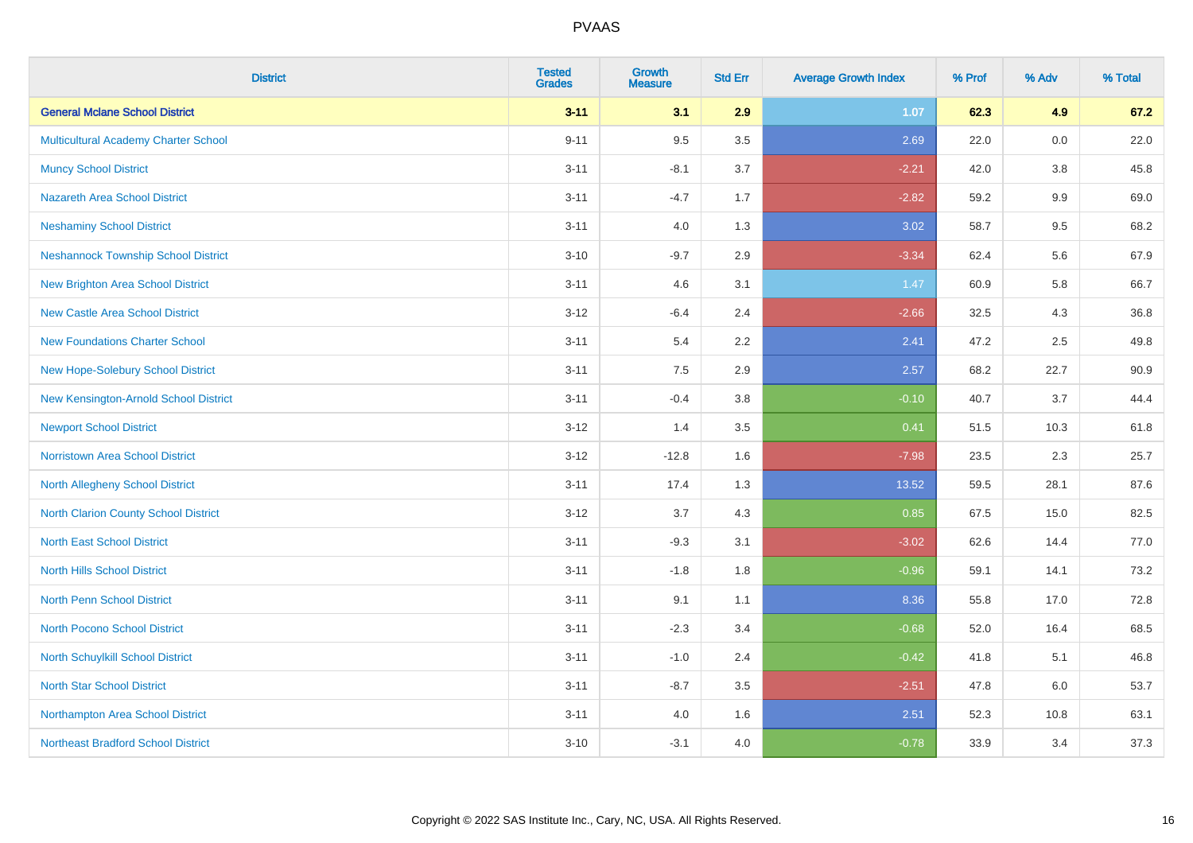| <b>District</b>                             | <b>Tested</b><br><b>Grades</b> | <b>Growth</b><br><b>Measure</b> | <b>Std Err</b> | <b>Average Growth Index</b> | % Prof | % Adv   | % Total |
|---------------------------------------------|--------------------------------|---------------------------------|----------------|-----------------------------|--------|---------|---------|
| <b>General Mclane School District</b>       | $3 - 11$                       | 3.1                             | 2.9            | 1.07                        | 62.3   | 4.9     | 67.2    |
| Multicultural Academy Charter School        | $9 - 11$                       | 9.5                             | 3.5            | 2.69                        | 22.0   | 0.0     | 22.0    |
| <b>Muncy School District</b>                | $3 - 11$                       | $-8.1$                          | 3.7            | $-2.21$                     | 42.0   | 3.8     | 45.8    |
| <b>Nazareth Area School District</b>        | $3 - 11$                       | $-4.7$                          | 1.7            | $-2.82$                     | 59.2   | $9.9\,$ | 69.0    |
| <b>Neshaminy School District</b>            | $3 - 11$                       | 4.0                             | 1.3            | 3.02                        | 58.7   | 9.5     | 68.2    |
| <b>Neshannock Township School District</b>  | $3 - 10$                       | $-9.7$                          | 2.9            | $-3.34$                     | 62.4   | 5.6     | 67.9    |
| <b>New Brighton Area School District</b>    | $3 - 11$                       | 4.6                             | 3.1            | 1.47                        | 60.9   | 5.8     | 66.7    |
| <b>New Castle Area School District</b>      | $3 - 12$                       | $-6.4$                          | 2.4            | $-2.66$                     | 32.5   | 4.3     | 36.8    |
| <b>New Foundations Charter School</b>       | $3 - 11$                       | 5.4                             | 2.2            | 2.41                        | 47.2   | 2.5     | 49.8    |
| New Hope-Solebury School District           | $3 - 11$                       | 7.5                             | 2.9            | 2.57                        | 68.2   | 22.7    | 90.9    |
| New Kensington-Arnold School District       | $3 - 11$                       | $-0.4$                          | 3.8            | $-0.10$                     | 40.7   | 3.7     | 44.4    |
| <b>Newport School District</b>              | $3 - 12$                       | 1.4                             | 3.5            | 0.41                        | 51.5   | 10.3    | 61.8    |
| Norristown Area School District             | $3-12$                         | $-12.8$                         | 1.6            | $-7.98$                     | 23.5   | 2.3     | 25.7    |
| <b>North Allegheny School District</b>      | $3 - 11$                       | 17.4                            | 1.3            | 13.52                       | 59.5   | 28.1    | 87.6    |
| <b>North Clarion County School District</b> | $3 - 12$                       | 3.7                             | 4.3            | 0.85                        | 67.5   | 15.0    | 82.5    |
| <b>North East School District</b>           | $3 - 11$                       | $-9.3$                          | 3.1            | $-3.02$                     | 62.6   | 14.4    | 77.0    |
| <b>North Hills School District</b>          | $3 - 11$                       | $-1.8$                          | 1.8            | $-0.96$                     | 59.1   | 14.1    | 73.2    |
| <b>North Penn School District</b>           | $3 - 11$                       | 9.1                             | 1.1            | 8.36                        | 55.8   | 17.0    | 72.8    |
| North Pocono School District                | $3 - 11$                       | $-2.3$                          | 3.4            | $-0.68$                     | 52.0   | 16.4    | 68.5    |
| North Schuylkill School District            | $3 - 11$                       | $-1.0$                          | 2.4            | $-0.42$                     | 41.8   | 5.1     | 46.8    |
| <b>North Star School District</b>           | $3 - 11$                       | $-8.7$                          | 3.5            | $-2.51$                     | 47.8   | 6.0     | 53.7    |
| Northampton Area School District            | $3 - 11$                       | 4.0                             | 1.6            | 2.51                        | 52.3   | 10.8    | 63.1    |
| <b>Northeast Bradford School District</b>   | $3 - 10$                       | $-3.1$                          | 4.0            | $-0.78$                     | 33.9   | 3.4     | 37.3    |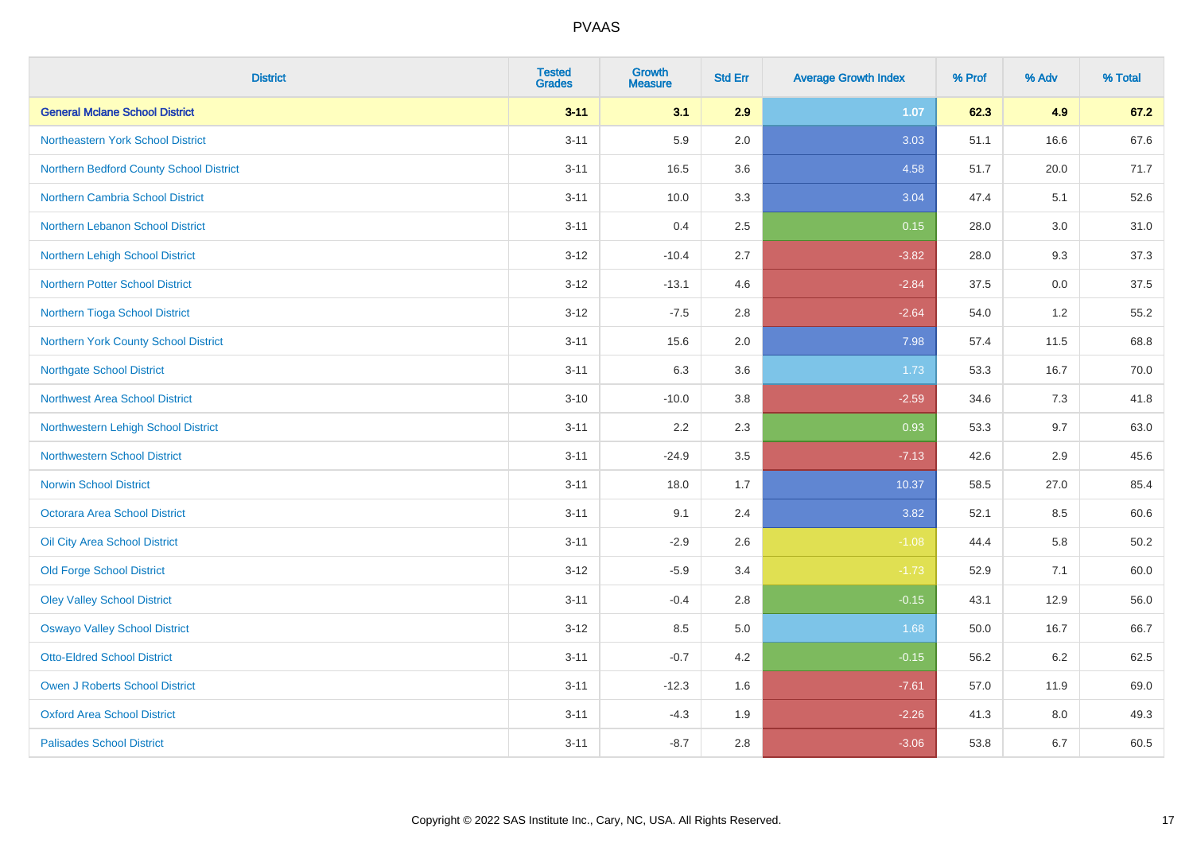| <b>District</b>                         | <b>Tested</b><br><b>Grades</b> | <b>Growth</b><br><b>Measure</b> | <b>Std Err</b> | <b>Average Growth Index</b> | % Prof | % Adv | % Total |
|-----------------------------------------|--------------------------------|---------------------------------|----------------|-----------------------------|--------|-------|---------|
| <b>General Mclane School District</b>   | $3 - 11$                       | 3.1                             | 2.9            | 1.07                        | 62.3   | 4.9   | 67.2    |
| Northeastern York School District       | $3 - 11$                       | 5.9                             | 2.0            | 3.03                        | 51.1   | 16.6  | 67.6    |
| Northern Bedford County School District | $3 - 11$                       | 16.5                            | 3.6            | 4.58                        | 51.7   | 20.0  | 71.7    |
| Northern Cambria School District        | $3 - 11$                       | 10.0                            | 3.3            | 3.04                        | 47.4   | 5.1   | 52.6    |
| Northern Lebanon School District        | $3 - 11$                       | 0.4                             | 2.5            | 0.15                        | 28.0   | 3.0   | 31.0    |
| Northern Lehigh School District         | $3 - 12$                       | $-10.4$                         | 2.7            | $-3.82$                     | 28.0   | 9.3   | 37.3    |
| <b>Northern Potter School District</b>  | $3 - 12$                       | $-13.1$                         | 4.6            | $-2.84$                     | 37.5   | 0.0   | 37.5    |
| Northern Tioga School District          | $3 - 12$                       | $-7.5$                          | 2.8            | $-2.64$                     | 54.0   | 1.2   | 55.2    |
| Northern York County School District    | $3 - 11$                       | 15.6                            | 2.0            | 7.98                        | 57.4   | 11.5  | 68.8    |
| <b>Northgate School District</b>        | $3 - 11$                       | 6.3                             | 3.6            | 1.73                        | 53.3   | 16.7  | 70.0    |
| Northwest Area School District          | $3 - 10$                       | $-10.0$                         | 3.8            | $-2.59$                     | 34.6   | 7.3   | 41.8    |
| Northwestern Lehigh School District     | $3 - 11$                       | 2.2                             | 2.3            | 0.93                        | 53.3   | 9.7   | 63.0    |
| <b>Northwestern School District</b>     | $3 - 11$                       | $-24.9$                         | 3.5            | $-7.13$                     | 42.6   | 2.9   | 45.6    |
| <b>Norwin School District</b>           | $3 - 11$                       | 18.0                            | 1.7            | 10.37                       | 58.5   | 27.0  | 85.4    |
| <b>Octorara Area School District</b>    | $3 - 11$                       | 9.1                             | 2.4            | 3.82                        | 52.1   | 8.5   | 60.6    |
| Oil City Area School District           | $3 - 11$                       | $-2.9$                          | 2.6            | $-1.08$                     | 44.4   | 5.8   | 50.2    |
| <b>Old Forge School District</b>        | $3 - 12$                       | $-5.9$                          | 3.4            | $-1.73$                     | 52.9   | 7.1   | 60.0    |
| <b>Oley Valley School District</b>      | $3 - 11$                       | $-0.4$                          | 2.8            | $-0.15$                     | 43.1   | 12.9  | 56.0    |
| <b>Oswayo Valley School District</b>    | $3 - 12$                       | 8.5                             | 5.0            | 1.68                        | 50.0   | 16.7  | 66.7    |
| <b>Otto-Eldred School District</b>      | $3 - 11$                       | $-0.7$                          | 4.2            | $-0.15$                     | 56.2   | 6.2   | 62.5    |
| <b>Owen J Roberts School District</b>   | $3 - 11$                       | $-12.3$                         | 1.6            | $-7.61$                     | 57.0   | 11.9  | 69.0    |
| <b>Oxford Area School District</b>      | $3 - 11$                       | $-4.3$                          | 1.9            | $-2.26$                     | 41.3   | 8.0   | 49.3    |
| <b>Palisades School District</b>        | $3 - 11$                       | $-8.7$                          | 2.8            | $-3.06$                     | 53.8   | 6.7   | 60.5    |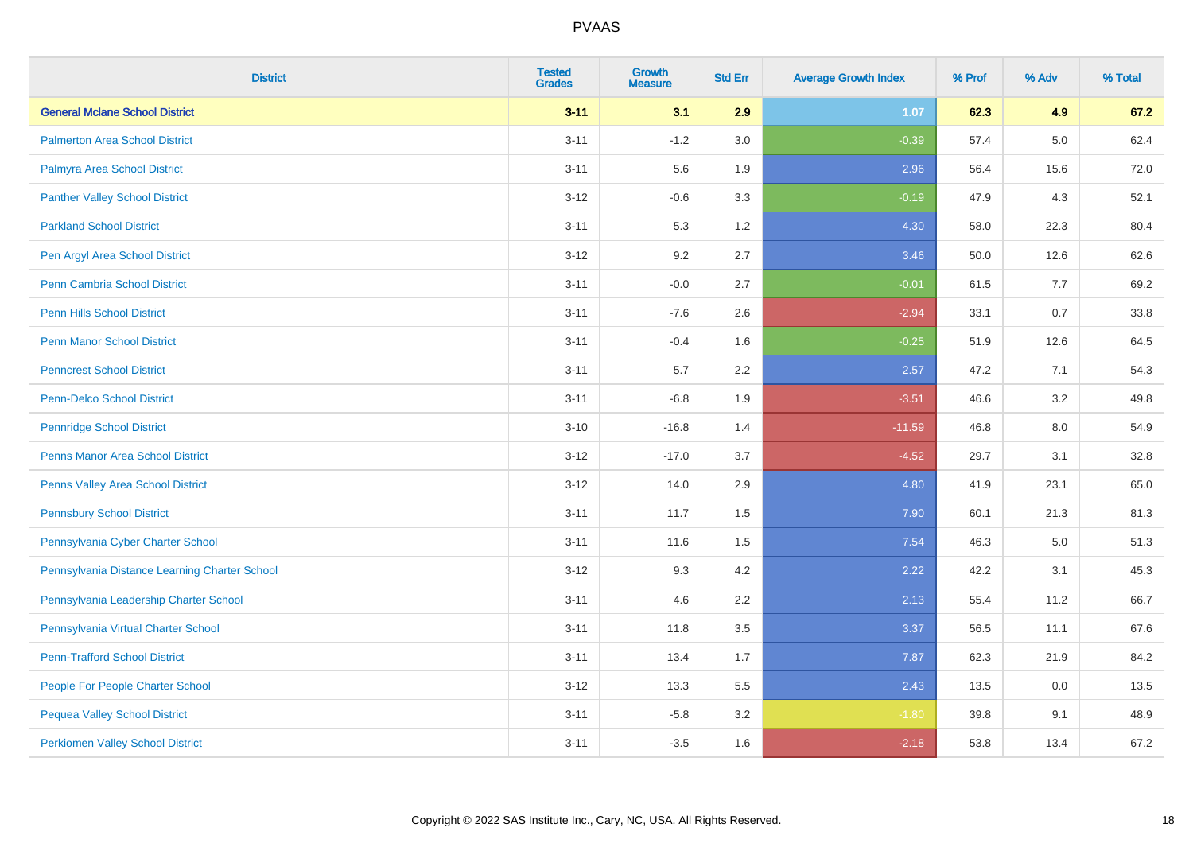| <b>District</b>                               | <b>Tested</b><br><b>Grades</b> | <b>Growth</b><br><b>Measure</b> | <b>Std Err</b> | <b>Average Growth Index</b> | % Prof | % Adv   | % Total |
|-----------------------------------------------|--------------------------------|---------------------------------|----------------|-----------------------------|--------|---------|---------|
| <b>General Mclane School District</b>         | $3 - 11$                       | 3.1                             | 2.9            | 1.07                        | 62.3   | 4.9     | 67.2    |
| <b>Palmerton Area School District</b>         | $3 - 11$                       | $-1.2$                          | 3.0            | $-0.39$                     | 57.4   | $5.0\,$ | 62.4    |
| Palmyra Area School District                  | $3 - 11$                       | 5.6                             | 1.9            | 2.96                        | 56.4   | 15.6    | 72.0    |
| <b>Panther Valley School District</b>         | $3-12$                         | $-0.6$                          | 3.3            | $-0.19$                     | 47.9   | 4.3     | 52.1    |
| <b>Parkland School District</b>               | $3 - 11$                       | 5.3                             | 1.2            | 4.30                        | 58.0   | 22.3    | 80.4    |
| Pen Argyl Area School District                | $3 - 12$                       | 9.2                             | 2.7            | 3.46                        | 50.0   | 12.6    | 62.6    |
| Penn Cambria School District                  | $3 - 11$                       | $-0.0$                          | 2.7            | $-0.01$                     | 61.5   | 7.7     | 69.2    |
| <b>Penn Hills School District</b>             | $3 - 11$                       | $-7.6$                          | 2.6            | $-2.94$                     | 33.1   | 0.7     | 33.8    |
| <b>Penn Manor School District</b>             | $3 - 11$                       | $-0.4$                          | 1.6            | $-0.25$                     | 51.9   | 12.6    | 64.5    |
| <b>Penncrest School District</b>              | $3 - 11$                       | 5.7                             | 2.2            | 2.57                        | 47.2   | 7.1     | 54.3    |
| <b>Penn-Delco School District</b>             | $3 - 11$                       | $-6.8$                          | 1.9            | $-3.51$                     | 46.6   | 3.2     | 49.8    |
| <b>Pennridge School District</b>              | $3 - 10$                       | $-16.8$                         | 1.4            | $-11.59$                    | 46.8   | 8.0     | 54.9    |
| Penns Manor Area School District              | $3-12$                         | $-17.0$                         | 3.7            | $-4.52$                     | 29.7   | 3.1     | 32.8    |
| Penns Valley Area School District             | $3 - 12$                       | 14.0                            | 2.9            | 4.80                        | 41.9   | 23.1    | 65.0    |
| <b>Pennsbury School District</b>              | $3 - 11$                       | 11.7                            | 1.5            | 7.90                        | 60.1   | 21.3    | 81.3    |
| Pennsylvania Cyber Charter School             | $3 - 11$                       | 11.6                            | 1.5            | 7.54                        | 46.3   | 5.0     | 51.3    |
| Pennsylvania Distance Learning Charter School | $3 - 12$                       | 9.3                             | 4.2            | 2.22                        | 42.2   | 3.1     | 45.3    |
| Pennsylvania Leadership Charter School        | $3 - 11$                       | 4.6                             | 2.2            | 2.13                        | 55.4   | 11.2    | 66.7    |
| Pennsylvania Virtual Charter School           | $3 - 11$                       | 11.8                            | 3.5            | 3.37                        | 56.5   | 11.1    | 67.6    |
| <b>Penn-Trafford School District</b>          | $3 - 11$                       | 13.4                            | 1.7            | 7.87                        | 62.3   | 21.9    | 84.2    |
| People For People Charter School              | $3 - 12$                       | 13.3                            | 5.5            | 2.43                        | 13.5   | 0.0     | 13.5    |
| <b>Pequea Valley School District</b>          | $3 - 11$                       | $-5.8$                          | 3.2            | $-1.80$                     | 39.8   | 9.1     | 48.9    |
| <b>Perkiomen Valley School District</b>       | $3 - 11$                       | $-3.5$                          | 1.6            | $-2.18$                     | 53.8   | 13.4    | 67.2    |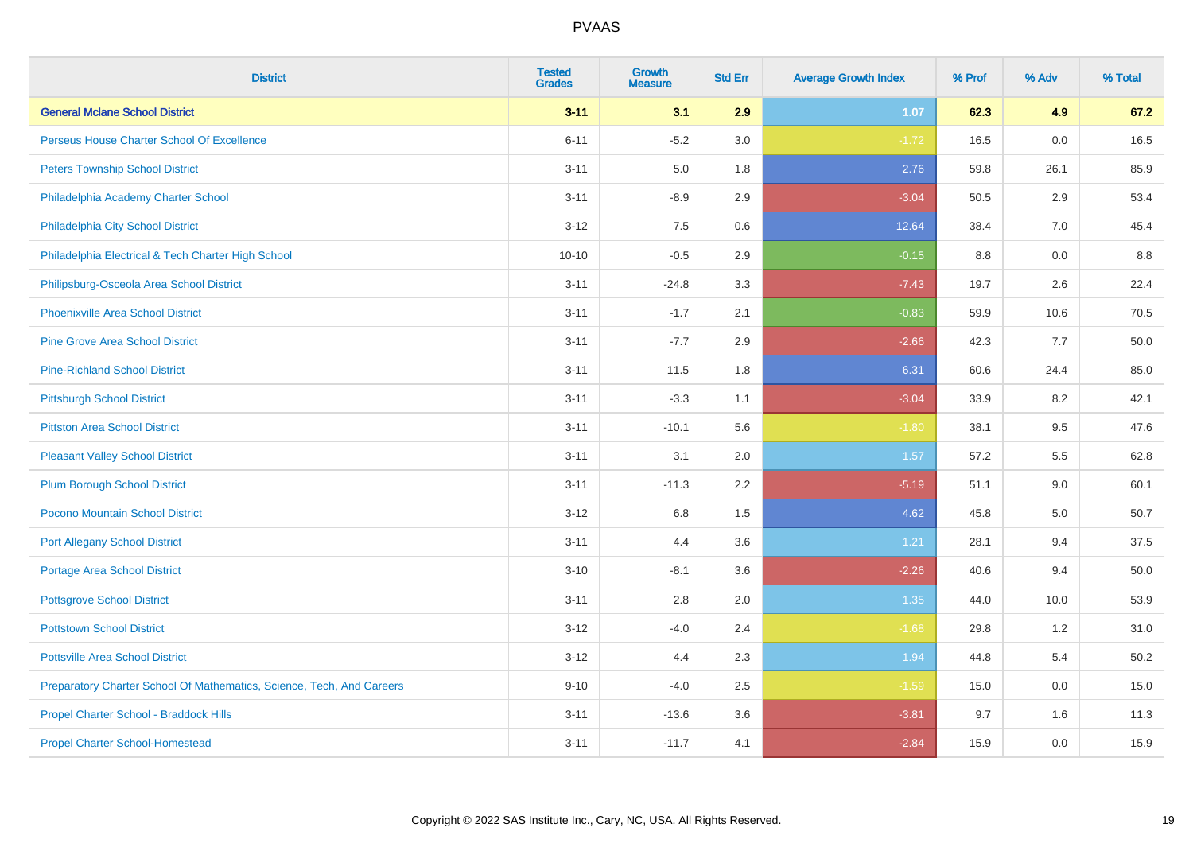| <b>District</b>                                                       | <b>Tested</b><br><b>Grades</b> | <b>Growth</b><br><b>Measure</b> | <b>Std Err</b> | <b>Average Growth Index</b> | % Prof | % Adv | % Total |
|-----------------------------------------------------------------------|--------------------------------|---------------------------------|----------------|-----------------------------|--------|-------|---------|
| <b>General Mclane School District</b>                                 | $3 - 11$                       | 3.1                             | 2.9            | 1.07                        | 62.3   | 4.9   | 67.2    |
| Perseus House Charter School Of Excellence                            | $6 - 11$                       | $-5.2$                          | 3.0            | $-1.72$                     | 16.5   | 0.0   | 16.5    |
| <b>Peters Township School District</b>                                | $3 - 11$                       | 5.0                             | 1.8            | 2.76                        | 59.8   | 26.1  | 85.9    |
| Philadelphia Academy Charter School                                   | $3 - 11$                       | $-8.9$                          | 2.9            | $-3.04$                     | 50.5   | 2.9   | 53.4    |
| Philadelphia City School District                                     | $3 - 12$                       | 7.5                             | 0.6            | 12.64                       | 38.4   | 7.0   | 45.4    |
| Philadelphia Electrical & Tech Charter High School                    | $10 - 10$                      | $-0.5$                          | 2.9            | $-0.15$                     | 8.8    | 0.0   | 8.8     |
| Philipsburg-Osceola Area School District                              | $3 - 11$                       | $-24.8$                         | 3.3            | $-7.43$                     | 19.7   | 2.6   | 22.4    |
| <b>Phoenixville Area School District</b>                              | $3 - 11$                       | $-1.7$                          | 2.1            | $-0.83$                     | 59.9   | 10.6  | 70.5    |
| <b>Pine Grove Area School District</b>                                | $3 - 11$                       | $-7.7$                          | 2.9            | $-2.66$                     | 42.3   | 7.7   | 50.0    |
| <b>Pine-Richland School District</b>                                  | $3 - 11$                       | 11.5                            | 1.8            | 6.31                        | 60.6   | 24.4  | 85.0    |
| <b>Pittsburgh School District</b>                                     | $3 - 11$                       | $-3.3$                          | 1.1            | $-3.04$                     | 33.9   | 8.2   | 42.1    |
| <b>Pittston Area School District</b>                                  | $3 - 11$                       | $-10.1$                         | 5.6            | $-1.80$                     | 38.1   | 9.5   | 47.6    |
| <b>Pleasant Valley School District</b>                                | $3 - 11$                       | 3.1                             | 2.0            | 1.57                        | 57.2   | 5.5   | 62.8    |
| <b>Plum Borough School District</b>                                   | $3 - 11$                       | $-11.3$                         | 2.2            | $-5.19$                     | 51.1   | 9.0   | 60.1    |
| Pocono Mountain School District                                       | $3 - 12$                       | 6.8                             | 1.5            | 4.62                        | 45.8   | 5.0   | 50.7    |
| <b>Port Allegany School District</b>                                  | $3 - 11$                       | 4.4                             | 3.6            | 1.21                        | 28.1   | 9.4   | 37.5    |
| <b>Portage Area School District</b>                                   | $3 - 10$                       | $-8.1$                          | 3.6            | $-2.26$                     | 40.6   | 9.4   | 50.0    |
| <b>Pottsgrove School District</b>                                     | $3 - 11$                       | 2.8                             | 2.0            | 1.35                        | 44.0   | 10.0  | 53.9    |
| <b>Pottstown School District</b>                                      | $3 - 12$                       | $-4.0$                          | 2.4            | $-1.68$                     | 29.8   | 1.2   | 31.0    |
| <b>Pottsville Area School District</b>                                | $3 - 12$                       | 4.4                             | 2.3            | 1.94                        | 44.8   | 5.4   | 50.2    |
| Preparatory Charter School Of Mathematics, Science, Tech, And Careers | $9 - 10$                       | $-4.0$                          | 2.5            | $-1.59$                     | 15.0   | 0.0   | 15.0    |
| Propel Charter School - Braddock Hills                                | $3 - 11$                       | $-13.6$                         | 3.6            | $-3.81$                     | 9.7    | 1.6   | 11.3    |
| <b>Propel Charter School-Homestead</b>                                | $3 - 11$                       | $-11.7$                         | 4.1            | $-2.84$                     | 15.9   | 0.0   | 15.9    |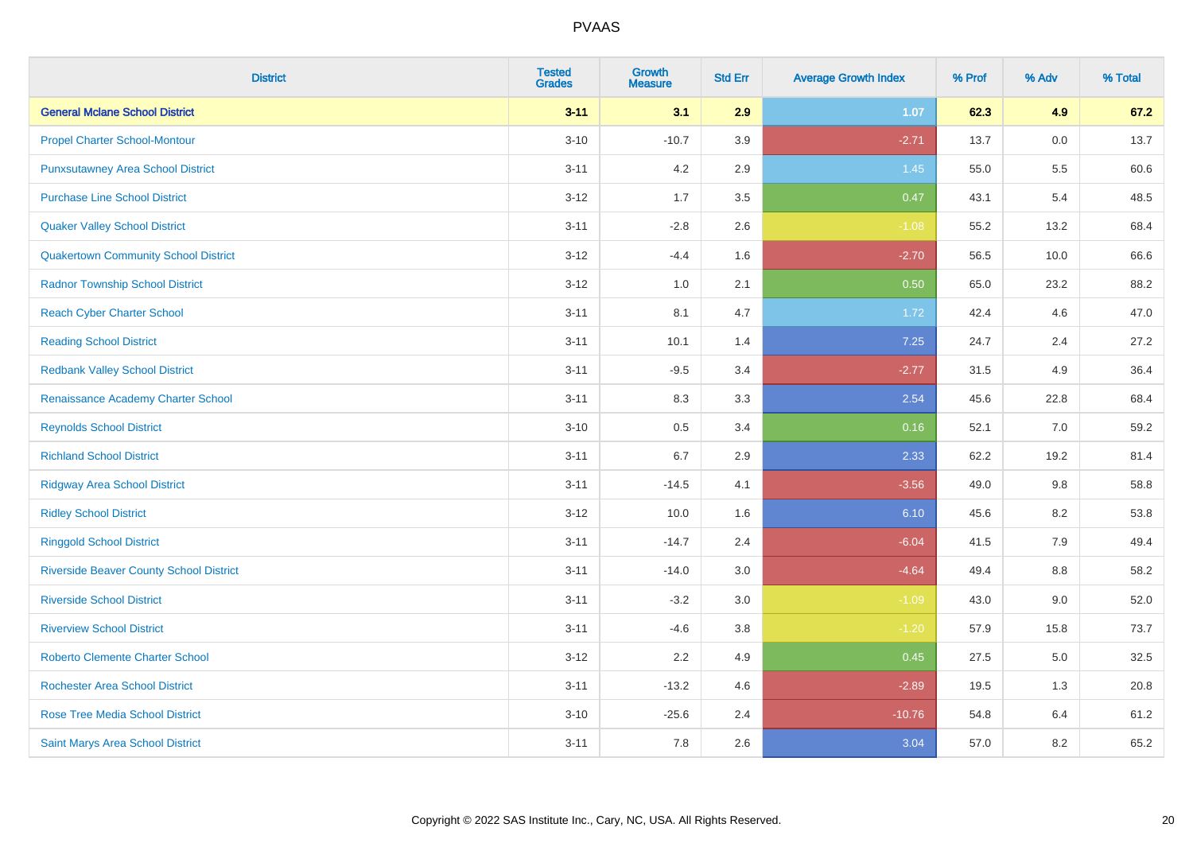| <b>District</b>                                | <b>Tested</b><br><b>Grades</b> | <b>Growth</b><br><b>Measure</b> | <b>Std Err</b> | <b>Average Growth Index</b> | % Prof | % Adv   | % Total |
|------------------------------------------------|--------------------------------|---------------------------------|----------------|-----------------------------|--------|---------|---------|
| <b>General Mclane School District</b>          | $3 - 11$                       | 3.1                             | 2.9            | 1.07                        | 62.3   | 4.9     | 67.2    |
| <b>Propel Charter School-Montour</b>           | $3 - 10$                       | $-10.7$                         | 3.9            | $-2.71$                     | 13.7   | $0.0\,$ | 13.7    |
| <b>Punxsutawney Area School District</b>       | $3 - 11$                       | 4.2                             | 2.9            | 1.45                        | 55.0   | 5.5     | 60.6    |
| <b>Purchase Line School District</b>           | $3 - 12$                       | 1.7                             | 3.5            | 0.47                        | 43.1   | 5.4     | 48.5    |
| <b>Quaker Valley School District</b>           | $3 - 11$                       | $-2.8$                          | 2.6            | $-1.08$                     | 55.2   | 13.2    | 68.4    |
| <b>Quakertown Community School District</b>    | $3 - 12$                       | $-4.4$                          | 1.6            | $-2.70$                     | 56.5   | 10.0    | 66.6    |
| <b>Radnor Township School District</b>         | $3-12$                         | 1.0                             | 2.1            | 0.50                        | 65.0   | 23.2    | 88.2    |
| <b>Reach Cyber Charter School</b>              | $3 - 11$                       | 8.1                             | 4.7            | 1.72                        | 42.4   | 4.6     | 47.0    |
| <b>Reading School District</b>                 | $3 - 11$                       | 10.1                            | 1.4            | 7.25                        | 24.7   | 2.4     | 27.2    |
| <b>Redbank Valley School District</b>          | $3 - 11$                       | $-9.5$                          | 3.4            | $-2.77$                     | 31.5   | 4.9     | 36.4    |
| Renaissance Academy Charter School             | $3 - 11$                       | 8.3                             | 3.3            | 2.54                        | 45.6   | 22.8    | 68.4    |
| <b>Reynolds School District</b>                | $3 - 10$                       | 0.5                             | 3.4            | 0.16                        | 52.1   | 7.0     | 59.2    |
| <b>Richland School District</b>                | $3 - 11$                       | 6.7                             | 2.9            | 2.33                        | 62.2   | 19.2    | 81.4    |
| <b>Ridgway Area School District</b>            | $3 - 11$                       | $-14.5$                         | 4.1            | $-3.56$                     | 49.0   | 9.8     | 58.8    |
| <b>Ridley School District</b>                  | $3 - 12$                       | 10.0                            | 1.6            | 6.10                        | 45.6   | 8.2     | 53.8    |
| <b>Ringgold School District</b>                | $3 - 11$                       | $-14.7$                         | 2.4            | $-6.04$                     | 41.5   | 7.9     | 49.4    |
| <b>Riverside Beaver County School District</b> | $3 - 11$                       | $-14.0$                         | 3.0            | $-4.64$                     | 49.4   | 8.8     | 58.2    |
| <b>Riverside School District</b>               | $3 - 11$                       | $-3.2$                          | 3.0            | $-1.09$                     | 43.0   | 9.0     | 52.0    |
| <b>Riverview School District</b>               | $3 - 11$                       | $-4.6$                          | $3.8\,$        | $-1.20$                     | 57.9   | 15.8    | 73.7    |
| <b>Roberto Clemente Charter School</b>         | $3 - 12$                       | 2.2                             | 4.9            | 0.45                        | 27.5   | 5.0     | 32.5    |
| <b>Rochester Area School District</b>          | $3 - 11$                       | $-13.2$                         | 4.6            | $-2.89$                     | 19.5   | 1.3     | 20.8    |
| <b>Rose Tree Media School District</b>         | $3 - 10$                       | $-25.6$                         | 2.4            | $-10.76$                    | 54.8   | 6.4     | 61.2    |
| Saint Marys Area School District               | $3 - 11$                       | 7.8                             | 2.6            | 3.04                        | 57.0   | 8.2     | 65.2    |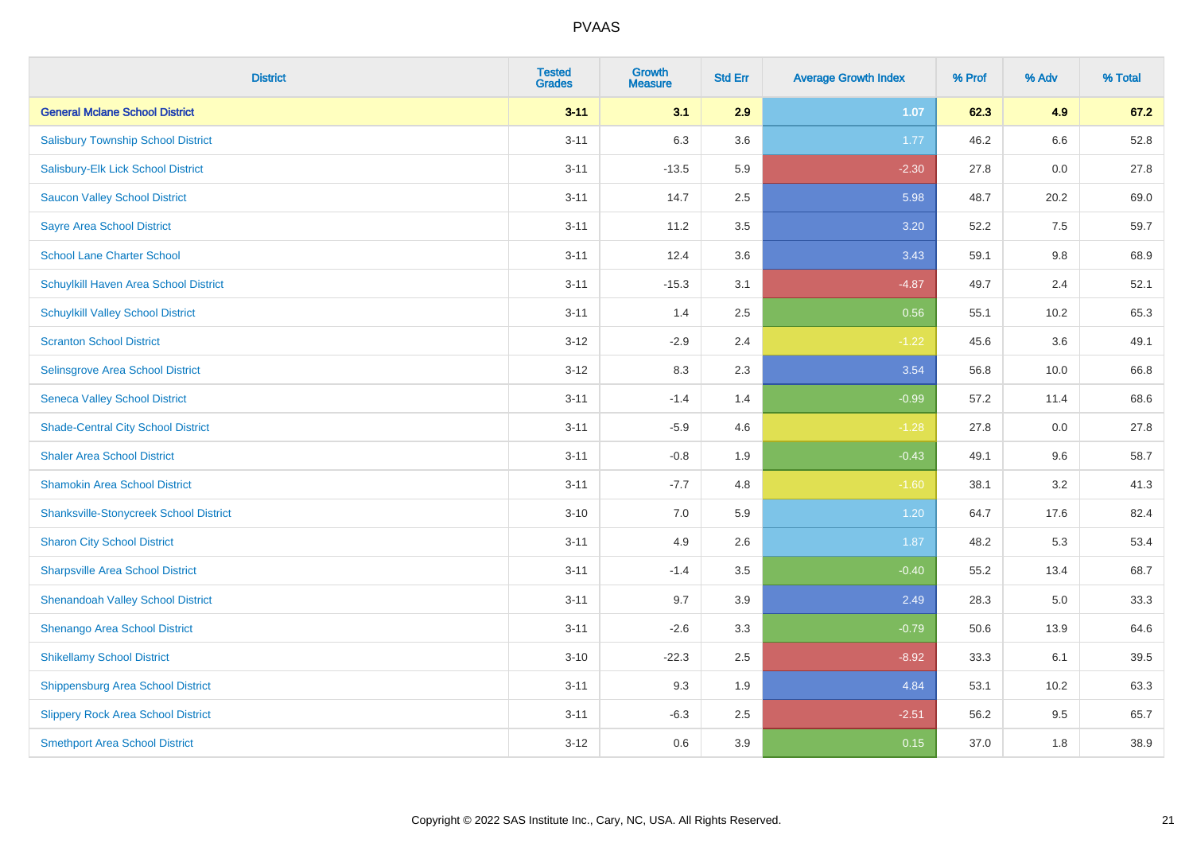| <b>District</b>                               | <b>Tested</b><br><b>Grades</b> | <b>Growth</b><br><b>Measure</b> | <b>Std Err</b> | <b>Average Growth Index</b> | % Prof | % Adv | % Total |
|-----------------------------------------------|--------------------------------|---------------------------------|----------------|-----------------------------|--------|-------|---------|
| <b>General Mclane School District</b>         | $3 - 11$                       | 3.1                             | 2.9            | 1.07                        | 62.3   | 4.9   | 67.2    |
| <b>Salisbury Township School District</b>     | $3 - 11$                       | 6.3                             | 3.6            | 1.77                        | 46.2   | 6.6   | 52.8    |
| Salisbury-Elk Lick School District            | $3 - 11$                       | $-13.5$                         | 5.9            | $-2.30$                     | 27.8   | 0.0   | 27.8    |
| <b>Saucon Valley School District</b>          | $3 - 11$                       | 14.7                            | 2.5            | 5.98                        | 48.7   | 20.2  | 69.0    |
| <b>Sayre Area School District</b>             | $3 - 11$                       | 11.2                            | 3.5            | 3.20                        | 52.2   | 7.5   | 59.7    |
| <b>School Lane Charter School</b>             | $3 - 11$                       | 12.4                            | 3.6            | 3.43                        | 59.1   | 9.8   | 68.9    |
| Schuylkill Haven Area School District         | $3 - 11$                       | $-15.3$                         | 3.1            | $-4.87$                     | 49.7   | 2.4   | 52.1    |
| <b>Schuylkill Valley School District</b>      | $3 - 11$                       | 1.4                             | 2.5            | 0.56                        | 55.1   | 10.2  | 65.3    |
| <b>Scranton School District</b>               | $3 - 12$                       | $-2.9$                          | 2.4            | $-1.22$                     | 45.6   | 3.6   | 49.1    |
| <b>Selinsgrove Area School District</b>       | $3 - 12$                       | 8.3                             | 2.3            | 3.54                        | 56.8   | 10.0  | 66.8    |
| <b>Seneca Valley School District</b>          | $3 - 11$                       | $-1.4$                          | 1.4            | $-0.99$                     | 57.2   | 11.4  | 68.6    |
| <b>Shade-Central City School District</b>     | $3 - 11$                       | $-5.9$                          | 4.6            | $-1.28$                     | 27.8   | 0.0   | 27.8    |
| <b>Shaler Area School District</b>            | $3 - 11$                       | $-0.8$                          | 1.9            | $-0.43$                     | 49.1   | 9.6   | 58.7    |
| <b>Shamokin Area School District</b>          | $3 - 11$                       | $-7.7$                          | 4.8            | $-1.60$                     | 38.1   | 3.2   | 41.3    |
| <b>Shanksville-Stonycreek School District</b> | $3 - 10$                       | 7.0                             | 5.9            | 1.20                        | 64.7   | 17.6  | 82.4    |
| <b>Sharon City School District</b>            | $3 - 11$                       | 4.9                             | 2.6            | 1.87                        | 48.2   | 5.3   | 53.4    |
| <b>Sharpsville Area School District</b>       | $3 - 11$                       | $-1.4$                          | 3.5            | $-0.40$                     | 55.2   | 13.4  | 68.7    |
| <b>Shenandoah Valley School District</b>      | $3 - 11$                       | 9.7                             | 3.9            | 2.49                        | 28.3   | 5.0   | 33.3    |
| Shenango Area School District                 | $3 - 11$                       | $-2.6$                          | 3.3            | $-0.79$                     | 50.6   | 13.9  | 64.6    |
| <b>Shikellamy School District</b>             | $3 - 10$                       | $-22.3$                         | 2.5            | $-8.92$                     | 33.3   | 6.1   | 39.5    |
| <b>Shippensburg Area School District</b>      | $3 - 11$                       | 9.3                             | 1.9            | 4.84                        | 53.1   | 10.2  | 63.3    |
| <b>Slippery Rock Area School District</b>     | $3 - 11$                       | $-6.3$                          | 2.5            | $-2.51$                     | 56.2   | 9.5   | 65.7    |
| <b>Smethport Area School District</b>         | $3 - 12$                       | 0.6                             | 3.9            | 0.15                        | 37.0   | 1.8   | 38.9    |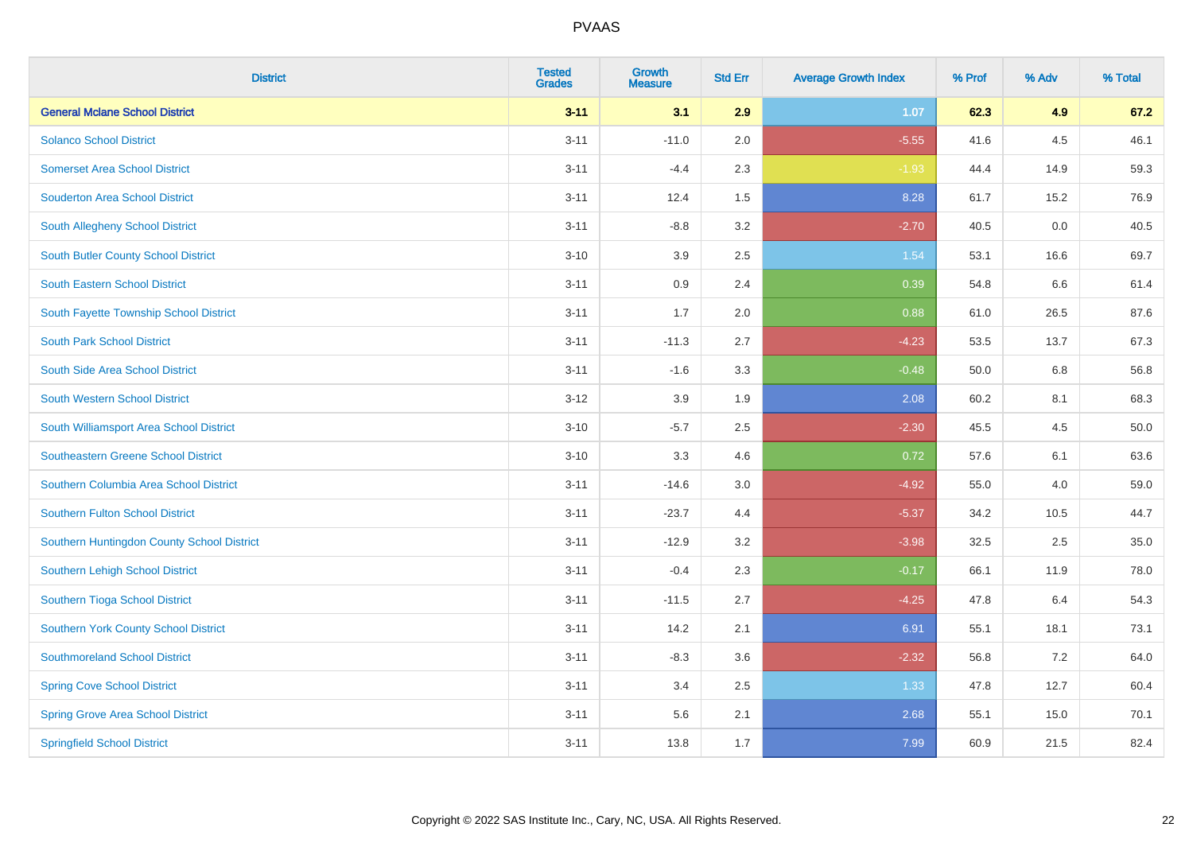| <b>District</b>                            | <b>Tested</b><br><b>Grades</b> | Growth<br><b>Measure</b> | <b>Std Err</b> | <b>Average Growth Index</b> | % Prof | % Adv | % Total |
|--------------------------------------------|--------------------------------|--------------------------|----------------|-----------------------------|--------|-------|---------|
| <b>General Mclane School District</b>      | $3 - 11$                       | 3.1                      | 2.9            | 1.07                        | 62.3   | 4.9   | 67.2    |
| <b>Solanco School District</b>             | $3 - 11$                       | $-11.0$                  | 2.0            | $-5.55$                     | 41.6   | 4.5   | 46.1    |
| <b>Somerset Area School District</b>       | $3 - 11$                       | $-4.4$                   | 2.3            | $-1.93$                     | 44.4   | 14.9  | 59.3    |
| <b>Souderton Area School District</b>      | $3 - 11$                       | 12.4                     | 1.5            | 8.28                        | 61.7   | 15.2  | 76.9    |
| South Allegheny School District            | $3 - 11$                       | $-8.8$                   | 3.2            | $-2.70$                     | 40.5   | 0.0   | 40.5    |
| South Butler County School District        | $3 - 10$                       | 3.9                      | 2.5            | 1.54                        | 53.1   | 16.6  | 69.7    |
| <b>South Eastern School District</b>       | $3 - 11$                       | 0.9                      | 2.4            | 0.39                        | 54.8   | 6.6   | 61.4    |
| South Fayette Township School District     | $3 - 11$                       | 1.7                      | 2.0            | 0.88                        | 61.0   | 26.5  | 87.6    |
| <b>South Park School District</b>          | $3 - 11$                       | $-11.3$                  | 2.7            | $-4.23$                     | 53.5   | 13.7  | 67.3    |
| South Side Area School District            | $3 - 11$                       | $-1.6$                   | 3.3            | $-0.48$                     | 50.0   | 6.8   | 56.8    |
| <b>South Western School District</b>       | $3 - 12$                       | 3.9                      | 1.9            | 2.08                        | 60.2   | 8.1   | 68.3    |
| South Williamsport Area School District    | $3 - 10$                       | $-5.7$                   | 2.5            | $-2.30$                     | 45.5   | 4.5   | 50.0    |
| <b>Southeastern Greene School District</b> | $3 - 10$                       | 3.3                      | 4.6            | 0.72                        | 57.6   | 6.1   | 63.6    |
| Southern Columbia Area School District     | $3 - 11$                       | $-14.6$                  | 3.0            | $-4.92$                     | 55.0   | 4.0   | 59.0    |
| <b>Southern Fulton School District</b>     | $3 - 11$                       | $-23.7$                  | 4.4            | $-5.37$                     | 34.2   | 10.5  | 44.7    |
| Southern Huntingdon County School District | $3 - 11$                       | $-12.9$                  | 3.2            | $-3.98$                     | 32.5   | 2.5   | 35.0    |
| Southern Lehigh School District            | $3 - 11$                       | $-0.4$                   | 2.3            | $-0.17$                     | 66.1   | 11.9  | 78.0    |
| Southern Tioga School District             | $3 - 11$                       | $-11.5$                  | 2.7            | $-4.25$                     | 47.8   | 6.4   | 54.3    |
| Southern York County School District       | $3 - 11$                       | 14.2                     | 2.1            | 6.91                        | 55.1   | 18.1  | 73.1    |
| <b>Southmoreland School District</b>       | $3 - 11$                       | $-8.3$                   | 3.6            | $-2.32$                     | 56.8   | 7.2   | 64.0    |
| <b>Spring Cove School District</b>         | $3 - 11$                       | 3.4                      | 2.5            | 1.33                        | 47.8   | 12.7  | 60.4    |
| <b>Spring Grove Area School District</b>   | $3 - 11$                       | 5.6                      | 2.1            | 2.68                        | 55.1   | 15.0  | 70.1    |
| <b>Springfield School District</b>         | $3 - 11$                       | 13.8                     | 1.7            | 7.99                        | 60.9   | 21.5  | 82.4    |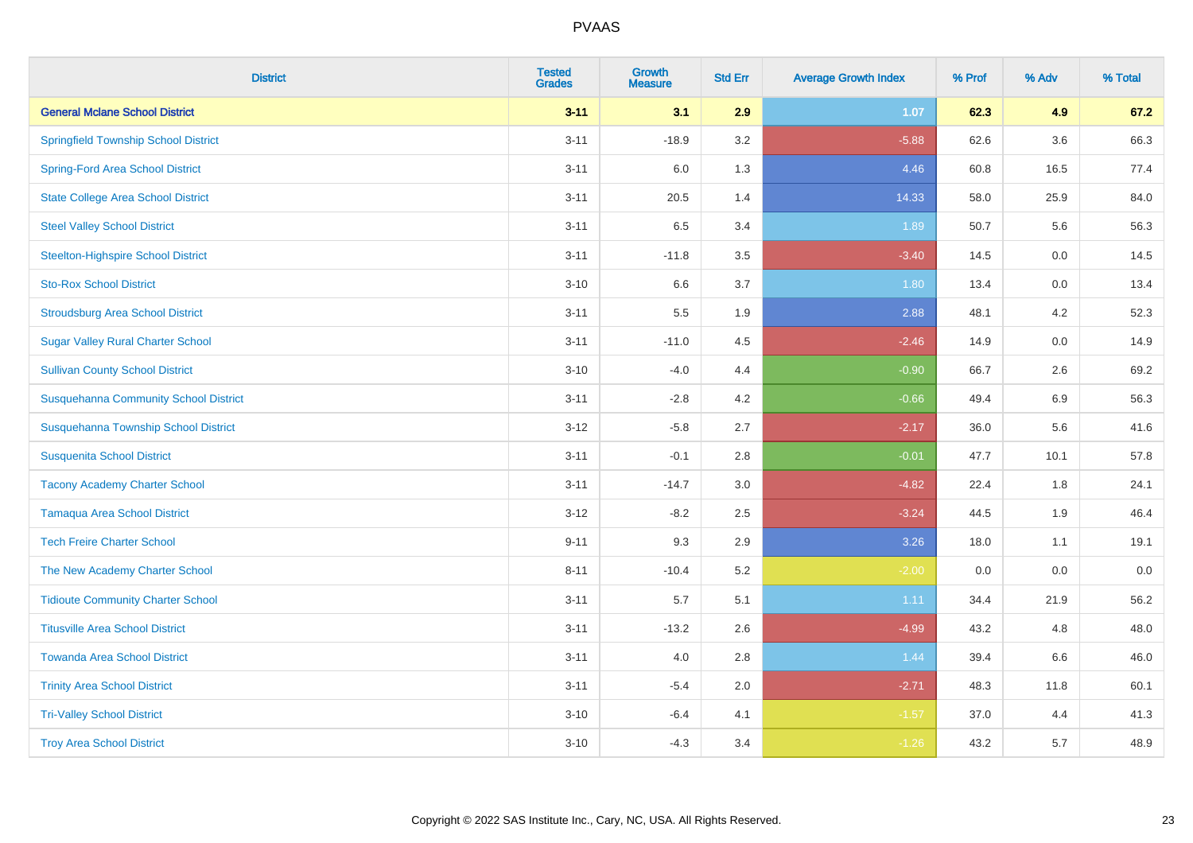| <b>District</b>                              | <b>Tested</b><br><b>Grades</b> | Growth<br><b>Measure</b> | <b>Std Err</b> | <b>Average Growth Index</b> | % Prof | % Adv   | % Total |
|----------------------------------------------|--------------------------------|--------------------------|----------------|-----------------------------|--------|---------|---------|
| <b>General Mclane School District</b>        | $3 - 11$                       | 3.1                      | 2.9            | 1.07                        | 62.3   | 4.9     | 67.2    |
| <b>Springfield Township School District</b>  | $3 - 11$                       | $-18.9$                  | 3.2            | $-5.88$                     | 62.6   | 3.6     | 66.3    |
| <b>Spring-Ford Area School District</b>      | $3 - 11$                       | 6.0                      | 1.3            | 4.46                        | 60.8   | 16.5    | 77.4    |
| <b>State College Area School District</b>    | $3 - 11$                       | 20.5                     | 1.4            | 14.33                       | 58.0   | 25.9    | 84.0    |
| <b>Steel Valley School District</b>          | $3 - 11$                       | 6.5                      | 3.4            | 1.89                        | 50.7   | 5.6     | 56.3    |
| <b>Steelton-Highspire School District</b>    | $3 - 11$                       | $-11.8$                  | 3.5            | $-3.40$                     | 14.5   | $0.0\,$ | 14.5    |
| <b>Sto-Rox School District</b>               | $3 - 10$                       | 6.6                      | 3.7            | 1.80                        | 13.4   | 0.0     | 13.4    |
| <b>Stroudsburg Area School District</b>      | $3 - 11$                       | 5.5                      | 1.9            | 2.88                        | 48.1   | 4.2     | 52.3    |
| <b>Sugar Valley Rural Charter School</b>     | $3 - 11$                       | $-11.0$                  | 4.5            | $-2.46$                     | 14.9   | 0.0     | 14.9    |
| <b>Sullivan County School District</b>       | $3 - 10$                       | $-4.0$                   | 4.4            | $-0.90$                     | 66.7   | 2.6     | 69.2    |
| <b>Susquehanna Community School District</b> | $3 - 11$                       | $-2.8$                   | 4.2            | $-0.66$                     | 49.4   | 6.9     | 56.3    |
| Susquehanna Township School District         | $3 - 12$                       | $-5.8$                   | 2.7            | $-2.17$                     | 36.0   | 5.6     | 41.6    |
| <b>Susquenita School District</b>            | $3 - 11$                       | $-0.1$                   | 2.8            | $-0.01$                     | 47.7   | 10.1    | 57.8    |
| <b>Tacony Academy Charter School</b>         | $3 - 11$                       | $-14.7$                  | 3.0            | $-4.82$                     | 22.4   | 1.8     | 24.1    |
| <b>Tamaqua Area School District</b>          | $3 - 12$                       | $-8.2$                   | 2.5            | $-3.24$                     | 44.5   | 1.9     | 46.4    |
| <b>Tech Freire Charter School</b>            | $9 - 11$                       | 9.3                      | 2.9            | 3.26                        | 18.0   | 1.1     | 19.1    |
| The New Academy Charter School               | $8 - 11$                       | $-10.4$                  | 5.2            | $-2.00$                     | 0.0    | 0.0     | $0.0\,$ |
| <b>Tidioute Community Charter School</b>     | $3 - 11$                       | 5.7                      | 5.1            | 1.11                        | 34.4   | 21.9    | 56.2    |
| <b>Titusville Area School District</b>       | $3 - 11$                       | $-13.2$                  | 2.6            | $-4.99$                     | 43.2   | 4.8     | 48.0    |
| <b>Towanda Area School District</b>          | $3 - 11$                       | 4.0                      | 2.8            | 1.44                        | 39.4   | 6.6     | 46.0    |
| <b>Trinity Area School District</b>          | $3 - 11$                       | $-5.4$                   | 2.0            | $-2.71$                     | 48.3   | 11.8    | 60.1    |
| <b>Tri-Valley School District</b>            | $3 - 10$                       | $-6.4$                   | 4.1            | $-1.57$                     | 37.0   | 4.4     | 41.3    |
| <b>Troy Area School District</b>             | $3 - 10$                       | $-4.3$                   | 3.4            | $-1.26$                     | 43.2   | 5.7     | 48.9    |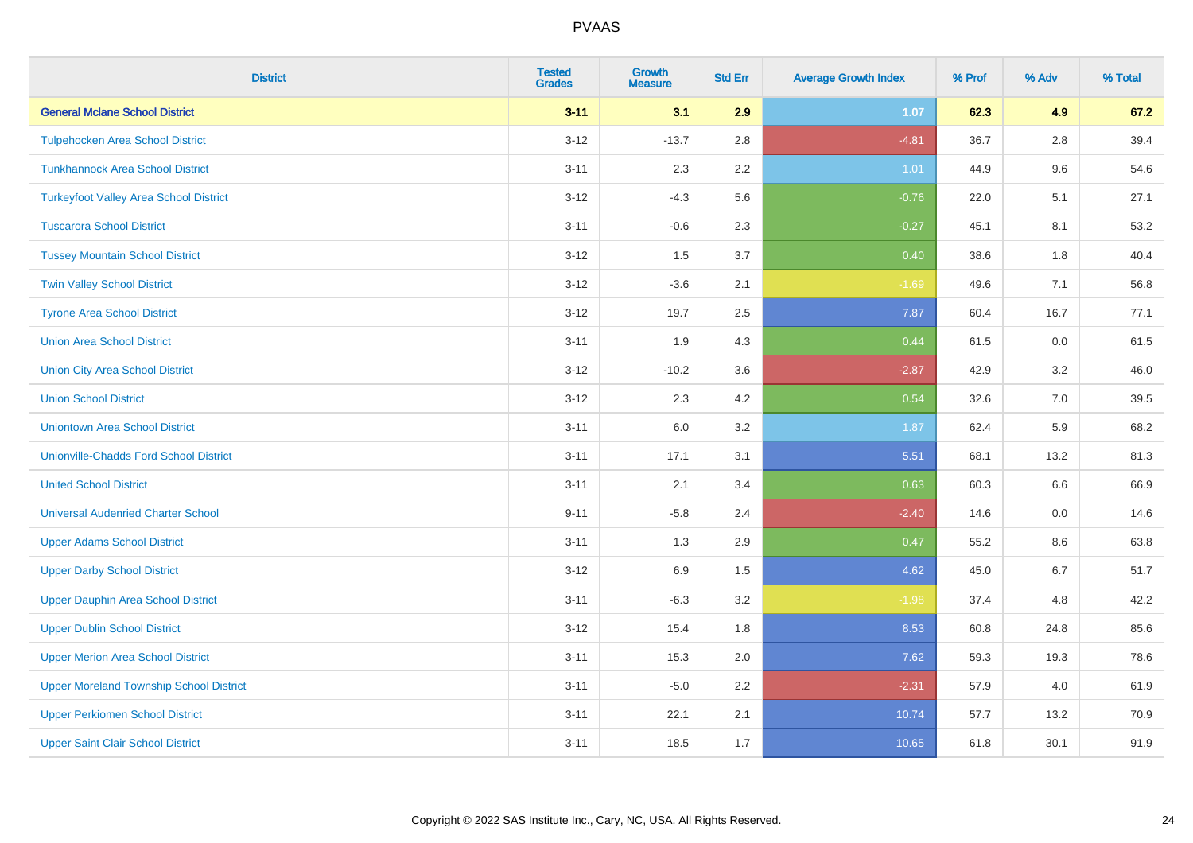| <b>District</b>                                | <b>Tested</b><br><b>Grades</b> | <b>Growth</b><br><b>Measure</b> | <b>Std Err</b> | <b>Average Growth Index</b> | % Prof | % Adv   | % Total |
|------------------------------------------------|--------------------------------|---------------------------------|----------------|-----------------------------|--------|---------|---------|
| <b>General Mclane School District</b>          | $3 - 11$                       | 3.1                             | 2.9            | 1.07                        | 62.3   | 4.9     | 67.2    |
| <b>Tulpehocken Area School District</b>        | $3 - 12$                       | $-13.7$                         | 2.8            | $-4.81$                     | 36.7   | $2.8\,$ | 39.4    |
| <b>Tunkhannock Area School District</b>        | $3 - 11$                       | 2.3                             | 2.2            | 1.01                        | 44.9   | 9.6     | 54.6    |
| <b>Turkeyfoot Valley Area School District</b>  | $3 - 12$                       | $-4.3$                          | 5.6            | $-0.76$                     | 22.0   | 5.1     | 27.1    |
| <b>Tuscarora School District</b>               | $3 - 11$                       | $-0.6$                          | 2.3            | $-0.27$                     | 45.1   | 8.1     | 53.2    |
| <b>Tussey Mountain School District</b>         | $3 - 12$                       | 1.5                             | 3.7            | 0.40                        | 38.6   | 1.8     | 40.4    |
| <b>Twin Valley School District</b>             | $3 - 12$                       | $-3.6$                          | 2.1            | $-1.69$                     | 49.6   | 7.1     | 56.8    |
| <b>Tyrone Area School District</b>             | $3 - 12$                       | 19.7                            | 2.5            | 7.87                        | 60.4   | 16.7    | 77.1    |
| <b>Union Area School District</b>              | $3 - 11$                       | 1.9                             | 4.3            | 0.44                        | 61.5   | 0.0     | 61.5    |
| <b>Union City Area School District</b>         | $3 - 12$                       | $-10.2$                         | 3.6            | $-2.87$                     | 42.9   | $3.2\,$ | 46.0    |
| <b>Union School District</b>                   | $3 - 12$                       | 2.3                             | 4.2            | 0.54                        | 32.6   | 7.0     | 39.5    |
| <b>Uniontown Area School District</b>          | $3 - 11$                       | 6.0                             | 3.2            | 1.87                        | 62.4   | 5.9     | 68.2    |
| <b>Unionville-Chadds Ford School District</b>  | $3 - 11$                       | 17.1                            | 3.1            | 5.51                        | 68.1   | 13.2    | 81.3    |
| <b>United School District</b>                  | $3 - 11$                       | 2.1                             | 3.4            | 0.63                        | 60.3   | 6.6     | 66.9    |
| <b>Universal Audenried Charter School</b>      | $9 - 11$                       | $-5.8$                          | 2.4            | $-2.40$                     | 14.6   | 0.0     | 14.6    |
| <b>Upper Adams School District</b>             | $3 - 11$                       | 1.3                             | 2.9            | 0.47                        | 55.2   | 8.6     | 63.8    |
| <b>Upper Darby School District</b>             | $3 - 12$                       | 6.9                             | 1.5            | 4.62                        | 45.0   | 6.7     | 51.7    |
| <b>Upper Dauphin Area School District</b>      | $3 - 11$                       | $-6.3$                          | 3.2            | $-1.98$                     | 37.4   | 4.8     | 42.2    |
| <b>Upper Dublin School District</b>            | $3 - 12$                       | 15.4                            | 1.8            | 8.53                        | 60.8   | 24.8    | 85.6    |
| <b>Upper Merion Area School District</b>       | $3 - 11$                       | 15.3                            | 2.0            | 7.62                        | 59.3   | 19.3    | 78.6    |
| <b>Upper Moreland Township School District</b> | $3 - 11$                       | $-5.0$                          | 2.2            | $-2.31$                     | 57.9   | 4.0     | 61.9    |
| <b>Upper Perkiomen School District</b>         | $3 - 11$                       | 22.1                            | 2.1            | 10.74                       | 57.7   | 13.2    | 70.9    |
| <b>Upper Saint Clair School District</b>       | $3 - 11$                       | 18.5                            | 1.7            | 10.65                       | 61.8   | 30.1    | 91.9    |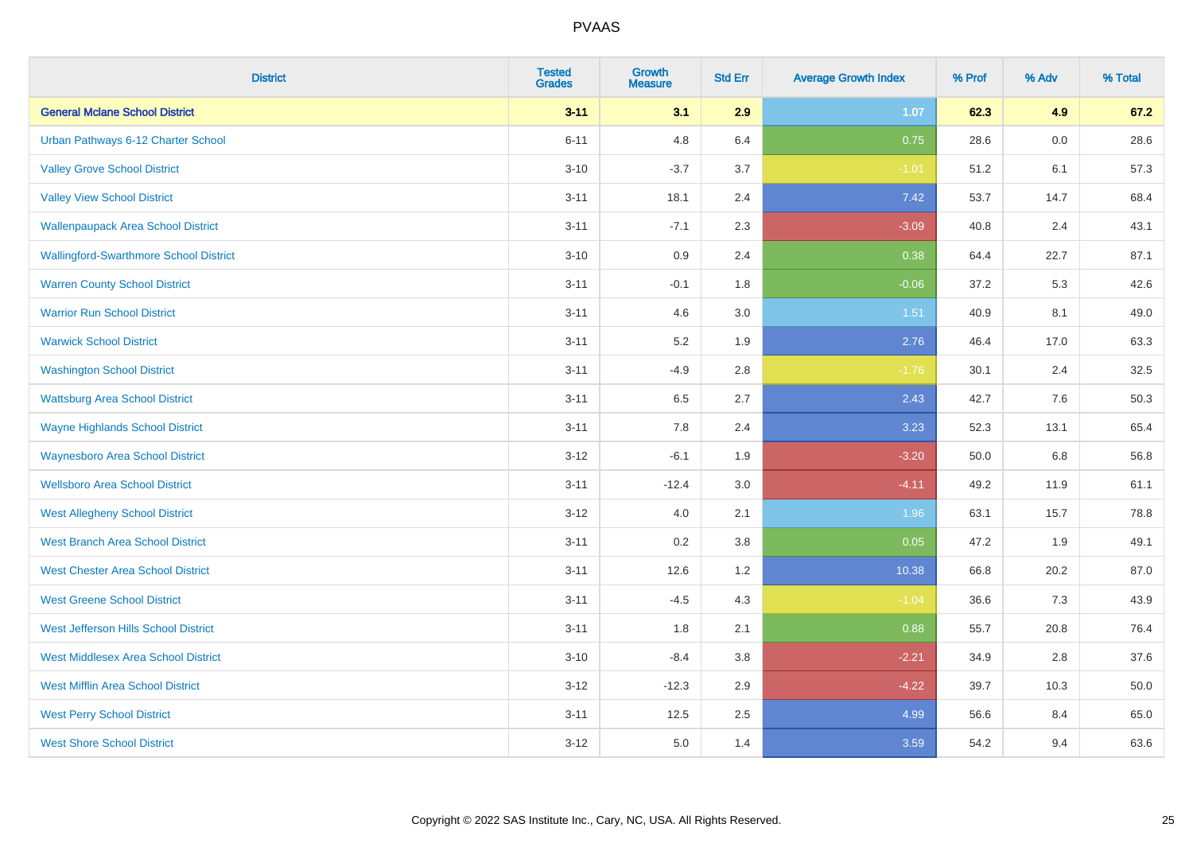| <b>District</b>                               | <b>Tested</b><br><b>Grades</b> | <b>Growth</b><br><b>Measure</b> | <b>Std Err</b> | <b>Average Growth Index</b> | % Prof | % Adv | % Total |
|-----------------------------------------------|--------------------------------|---------------------------------|----------------|-----------------------------|--------|-------|---------|
| <b>General Mclane School District</b>         | $3 - 11$                       | 3.1                             | 2.9            | 1.07                        | 62.3   | 4.9   | 67.2    |
| Urban Pathways 6-12 Charter School            | $6 - 11$                       | 4.8                             | 6.4            | 0.75                        | 28.6   | 0.0   | 28.6    |
| <b>Valley Grove School District</b>           | $3 - 10$                       | $-3.7$                          | 3.7            | $-1.01$                     | 51.2   | 6.1   | 57.3    |
| <b>Valley View School District</b>            | $3 - 11$                       | 18.1                            | 2.4            | 7.42                        | 53.7   | 14.7  | 68.4    |
| <b>Wallenpaupack Area School District</b>     | $3 - 11$                       | $-7.1$                          | 2.3            | $-3.09$                     | 40.8   | 2.4   | 43.1    |
| <b>Wallingford-Swarthmore School District</b> | $3 - 10$                       | $0.9\,$                         | 2.4            | 0.38                        | 64.4   | 22.7  | 87.1    |
| <b>Warren County School District</b>          | $3 - 11$                       | $-0.1$                          | 1.8            | $-0.06$                     | 37.2   | 5.3   | 42.6    |
| <b>Warrior Run School District</b>            | $3 - 11$                       | 4.6                             | 3.0            | 1.51                        | 40.9   | 8.1   | 49.0    |
| <b>Warwick School District</b>                | $3 - 11$                       | 5.2                             | 1.9            | 2.76                        | 46.4   | 17.0  | 63.3    |
| <b>Washington School District</b>             | $3 - 11$                       | $-4.9$                          | 2.8            | $-1.76$                     | 30.1   | 2.4   | 32.5    |
| <b>Wattsburg Area School District</b>         | $3 - 11$                       | 6.5                             | 2.7            | 2.43                        | 42.7   | 7.6   | 50.3    |
| <b>Wayne Highlands School District</b>        | $3 - 11$                       | 7.8                             | 2.4            | 3.23                        | 52.3   | 13.1  | 65.4    |
| <b>Waynesboro Area School District</b>        | $3 - 12$                       | $-6.1$                          | 1.9            | $-3.20$                     | 50.0   | 6.8   | 56.8    |
| <b>Wellsboro Area School District</b>         | $3 - 11$                       | $-12.4$                         | 3.0            | $-4.11$                     | 49.2   | 11.9  | 61.1    |
| <b>West Allegheny School District</b>         | $3 - 12$                       | 4.0                             | 2.1            | 1.96                        | 63.1   | 15.7  | 78.8    |
| <b>West Branch Area School District</b>       | $3 - 11$                       | 0.2                             | 3.8            | 0.05                        | 47.2   | 1.9   | 49.1    |
| <b>West Chester Area School District</b>      | $3 - 11$                       | 12.6                            | 1.2            | 10.38                       | 66.8   | 20.2  | 87.0    |
| <b>West Greene School District</b>            | $3 - 11$                       | $-4.5$                          | 4.3            | $-1.04$                     | 36.6   | 7.3   | 43.9    |
| West Jefferson Hills School District          | $3 - 11$                       | 1.8                             | 2.1            | 0.88                        | 55.7   | 20.8  | 76.4    |
| <b>West Middlesex Area School District</b>    | $3 - 10$                       | $-8.4$                          | 3.8            | $-2.21$                     | 34.9   | 2.8   | 37.6    |
| <b>West Mifflin Area School District</b>      | $3 - 12$                       | $-12.3$                         | 2.9            | $-4.22$                     | 39.7   | 10.3  | 50.0    |
| <b>West Perry School District</b>             | $3 - 11$                       | 12.5                            | 2.5            | 4.99                        | 56.6   | 8.4   | 65.0    |
| <b>West Shore School District</b>             | $3-12$                         | 5.0                             | 1.4            | 3.59                        | 54.2   | 9.4   | 63.6    |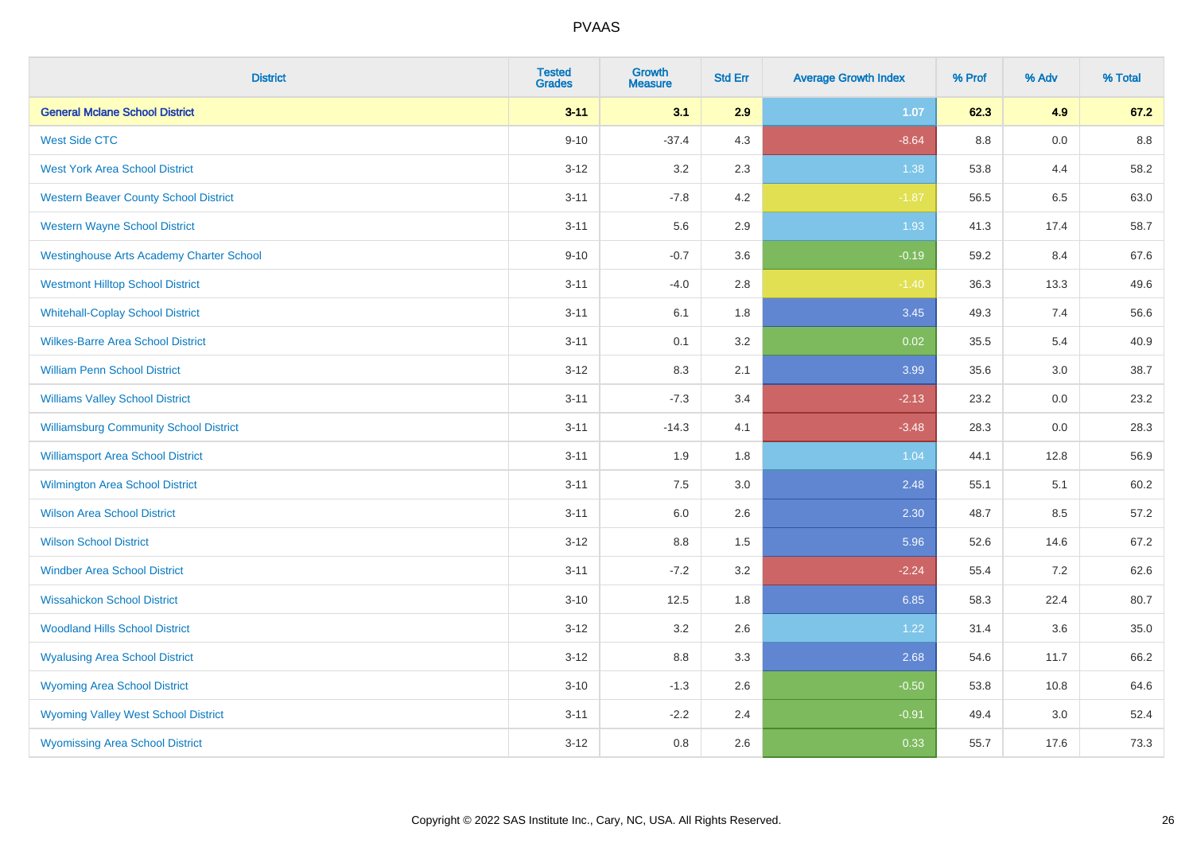| <b>District</b>                                 | <b>Tested</b><br><b>Grades</b> | <b>Growth</b><br><b>Measure</b> | <b>Std Err</b> | <b>Average Growth Index</b> | % Prof  | % Adv | % Total |
|-------------------------------------------------|--------------------------------|---------------------------------|----------------|-----------------------------|---------|-------|---------|
| <b>General Mclane School District</b>           | $3 - 11$                       | 3.1                             | 2.9            | 1.07                        | 62.3    | 4.9   | 67.2    |
| <b>West Side CTC</b>                            | $9 - 10$                       | $-37.4$                         | 4.3            | $-8.64$                     | $8.8\,$ | 0.0   | $8.8\,$ |
| <b>West York Area School District</b>           | $3 - 12$                       | $3.2\,$                         | 2.3            | 1.38                        | 53.8    | 4.4   | 58.2    |
| <b>Western Beaver County School District</b>    | $3 - 11$                       | $-7.8$                          | 4.2            | $-1.87$                     | 56.5    | 6.5   | 63.0    |
| <b>Western Wayne School District</b>            | $3 - 11$                       | 5.6                             | 2.9            | 1.93                        | 41.3    | 17.4  | 58.7    |
| <b>Westinghouse Arts Academy Charter School</b> | $9 - 10$                       | $-0.7$                          | 3.6            | $-0.19$                     | 59.2    | 8.4   | 67.6    |
| <b>Westmont Hilltop School District</b>         | $3 - 11$                       | $-4.0$                          | 2.8            | $-1.40$                     | 36.3    | 13.3  | 49.6    |
| <b>Whitehall-Coplay School District</b>         | $3 - 11$                       | 6.1                             | 1.8            | 3.45                        | 49.3    | 7.4   | 56.6    |
| <b>Wilkes-Barre Area School District</b>        | $3 - 11$                       | 0.1                             | 3.2            | 0.02                        | 35.5    | 5.4   | 40.9    |
| <b>William Penn School District</b>             | $3 - 12$                       | 8.3                             | 2.1            | 3.99                        | 35.6    | 3.0   | 38.7    |
| <b>Williams Valley School District</b>          | $3 - 11$                       | $-7.3$                          | 3.4            | $-2.13$                     | 23.2    | 0.0   | 23.2    |
| <b>Williamsburg Community School District</b>   | $3 - 11$                       | $-14.3$                         | 4.1            | $-3.48$                     | 28.3    | 0.0   | 28.3    |
| <b>Williamsport Area School District</b>        | $3 - 11$                       | 1.9                             | 1.8            | 1.04                        | 44.1    | 12.8  | 56.9    |
| Wilmington Area School District                 | $3 - 11$                       | 7.5                             | 3.0            | 2.48                        | 55.1    | 5.1   | 60.2    |
| <b>Wilson Area School District</b>              | $3 - 11$                       | 6.0                             | 2.6            | 2.30                        | 48.7    | 8.5   | 57.2    |
| <b>Wilson School District</b>                   | $3 - 12$                       | 8.8                             | 1.5            | 5.96                        | 52.6    | 14.6  | 67.2    |
| <b>Windber Area School District</b>             | $3 - 11$                       | $-7.2$                          | 3.2            | $-2.24$                     | 55.4    | 7.2   | 62.6    |
| <b>Wissahickon School District</b>              | $3 - 10$                       | 12.5                            | 1.8            | 6.85                        | 58.3    | 22.4  | 80.7    |
| <b>Woodland Hills School District</b>           | $3-12$                         | 3.2                             | 2.6            | 1.22                        | 31.4    | 3.6   | 35.0    |
| <b>Wyalusing Area School District</b>           | $3 - 12$                       | 8.8                             | 3.3            | 2.68                        | 54.6    | 11.7  | 66.2    |
| <b>Wyoming Area School District</b>             | $3 - 10$                       | $-1.3$                          | 2.6            | $-0.50$                     | 53.8    | 10.8  | 64.6    |
| <b>Wyoming Valley West School District</b>      | $3 - 11$                       | $-2.2$                          | 2.4            | $-0.91$                     | 49.4    | 3.0   | 52.4    |
| <b>Wyomissing Area School District</b>          | $3 - 12$                       | 0.8                             | 2.6            | 0.33                        | 55.7    | 17.6  | 73.3    |